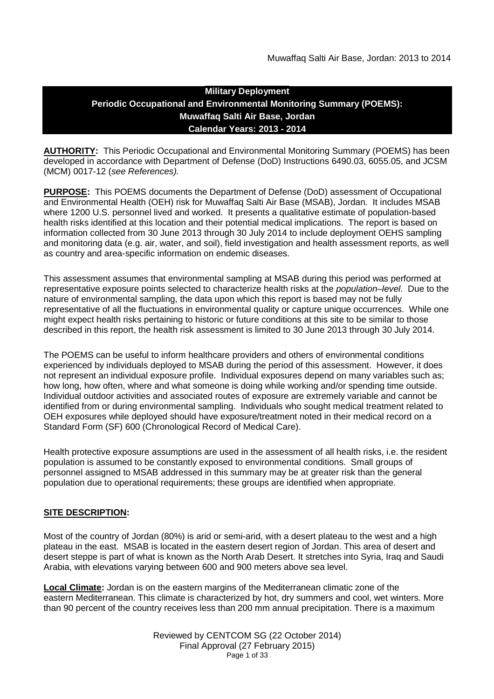# **Military Deployment Periodic Occupational and Environmental Monitoring Summary (POEMS): Muwaffaq Salti Air Base, Jordan Calendar Years: 2013 - 2014**

**AUTHORITY:** This Periodic Occupational and Environmental Monitoring Summary (POEMS) has been developed in accordance with Department of Defense (DoD) Instructions 6490.03, 6055.05, and JCSM (MCM) 0017-12 (*see References).*

**PURPOSE:** This POEMS documents the Department of Defense (DoD) assessment of Occupational and Environmental Health (OEH) risk for Muwaffaq Salti Air Base (MSAB), Jordan. It includes MSAB where 1200 U.S. personnel lived and worked. It presents a qualitative estimate of population-based health risks identified at this location and their potential medical implications. The report is based on information collected from 30 June 2013 through 30 July 2014 to include deployment OEHS sampling and monitoring data (e.g. air, water, and soil), field investigation and health assessment reports, as well as country and area-specific information on endemic diseases.

This assessment assumes that environmental sampling at MSAB during this period was performed at representative exposure points selected to characterize health risks at the *population–level*. Due to the nature of environmental sampling, the data upon which this report is based may not be fully representative of all the fluctuations in environmental quality or capture unique occurrences. While one might expect health risks pertaining to historic or future conditions at this site to be similar to those described in this report, the health risk assessment is limited to 30 June 2013 through 30 July 2014.

The POEMS can be useful to inform healthcare providers and others of environmental conditions experienced by individuals deployed to MSAB during the period of this assessment. However, it does not represent an individual exposure profile. Individual exposures depend on many variables such as; how long, how often, where and what someone is doing while working and/or spending time outside. Individual outdoor activities and associated routes of exposure are extremely variable and cannot be identified from or during environmental sampling. Individuals who sought medical treatment related to OEH exposures while deployed should have exposure/treatment noted in their medical record on a Standard Form (SF) 600 (Chronological Record of Medical Care).

Health protective exposure assumptions are used in the assessment of all health risks, i.e. the resident population is assumed to be constantly exposed to environmental conditions. Small groups of personnel assigned to MSAB addressed in this summary may be at greater risk than the general population due to operational requirements; these groups are identified when appropriate.

## **SITE DESCRIPTION:**

Most of the country of Jordan (80%) is arid or semi-arid, with a desert plateau to the west and a high plateau in the east. MSAB is located in the eastern desert region of Jordan. This area of desert and desert steppe is part of what is known as the North Arab Desert. It stretches into Syria, Iraq and Saudi Arabia, with elevations varying between 600 and 900 meters above sea level.

**Local Climate:** Jordan is on the eastern margins of the Mediterranean climatic zone of the eastern Mediterranean. This climate is characterized by hot, dry summers and cool, wet winters. More than 90 percent of the country receives less than 200 mm annual precipitation. There is a maximum

> Reviewed by CENTCOM SG (22 October 2014) Final Approval (27 February 2015) Page 1 of 33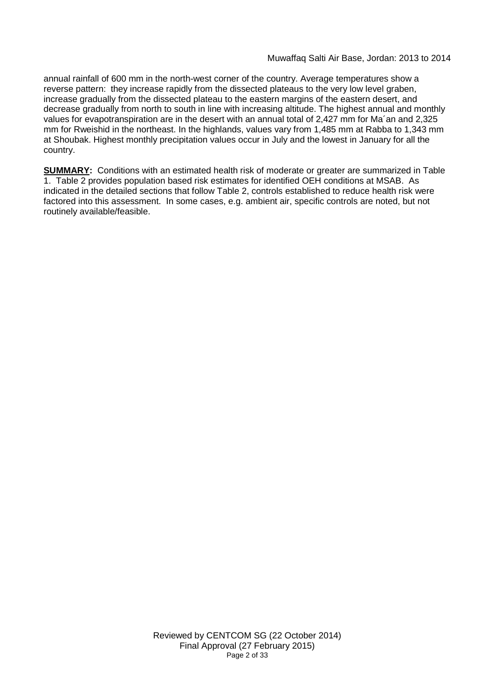annual rainfall of 600 mm in the north-west corner of the country. Average temperatures show a reverse pattern: they increase rapidly from the dissected plateaus to the very low level graben, increase gradually from the dissected plateau to the eastern margins of the eastern desert, and decrease gradually from north to south in line with increasing altitude. The highest annual and monthly values for evapotranspiration are in the desert with an annual total of 2,427 mm for Ma´an and 2,325 mm for Rweishid in the northeast. In the highlands, values vary from 1,485 mm at Rabba to 1,343 mm at Shoubak. Highest monthly precipitation values occur in July and the lowest in January for all the country.

**SUMMARY:** Conditions with an estimated health risk of moderate or greater are summarized in Table 1. Table 2 provides population based risk estimates for identified OEH conditions at MSAB. As indicated in the detailed sections that follow Table 2, controls established to reduce health risk were factored into this assessment. In some cases, e.g. ambient air, specific controls are noted, but not routinely available/feasible.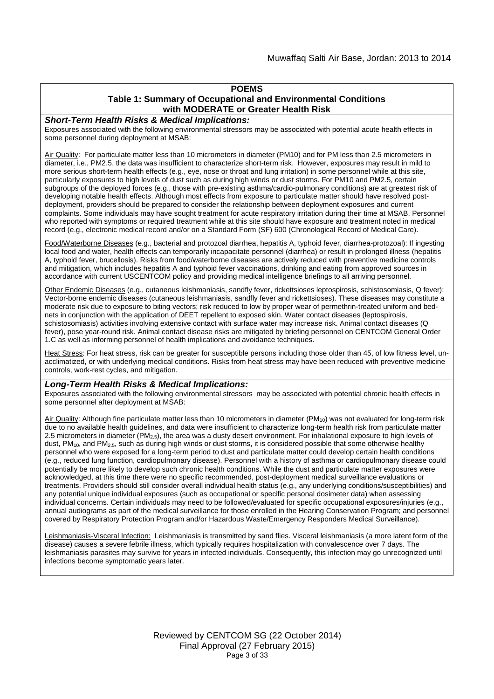# **POEMS**

#### **Table 1: Summary of Occupational and Environmental Conditions with MODERATE or Greater Health Risk**

#### *Short-Term Health Risks & Medical Implications:*

Exposures associated with the following environmental stressors may be associated with potential acute health effects in some personnel during deployment at MSAB:

Air Quality: For particulate matter less than 10 micrometers in diameter (PM10) and for PM less than 2.5 micrometers in diameter, i.e., PM2.5, the data was insufficient to characterize short-term risk. However, exposures may result in mild to more serious short-term health effects (e.g., eye, nose or throat and lung irritation) in some personnel while at this site, particularly exposures to high levels of dust such as during high winds or dust storms. For PM10 and PM2.5, certain subgroups of the deployed forces (e.g., those with pre-existing asthma/cardio-pulmonary conditions) are at greatest risk of developing notable health effects. Although most effects from exposure to particulate matter should have resolved postdeployment, providers should be prepared to consider the relationship between deployment exposures and current complaints. Some individuals may have sought treatment for acute respiratory irritation during their time at MSAB. Personnel who reported with symptoms or required treatment while at this site should have exposure and treatment noted in medical record (e.g., electronic medical record and/or on a Standard Form (SF) 600 (Chronological Record of Medical Care).

Food/Waterborne Diseases (e.g., bacterial and protozoal diarrhea, hepatitis A, typhoid fever, diarrhea-protozoal): If ingesting local food and water, health effects can temporarily incapacitate personnel (diarrhea) or result in prolonged illness (hepatitis A, typhoid fever, brucellosis). Risks from food/waterborne diseases are actively reduced with preventive medicine controls and mitigation, which includes hepatitis A and typhoid fever vaccinations, drinking and eating from approved sources in accordance with current USCENTCOM policy and providing medical intelligence briefings to all arriving personnel.

Other Endemic Diseases (e.g., cutaneous leishmaniasis, sandfly fever, rickettsioses leptospirosis, schistosomiasis, Q fever): Vector-borne endemic diseases (cutaneous leishmaniasis, sandfly fever and rickettsioses). These diseases may constitute a moderate risk due to exposure to biting vectors; risk reduced to low by proper wear of permethrin-treated uniform and bednets in conjunction with the application of DEET repellent to exposed skin. Water contact diseases (leptospirosis, schistosomiasis) activities involving extensive contact with surface water may increase risk. Animal contact diseases (Q fever), pose year-round risk. Animal contact disease risks are mitigated by briefing personnel on CENTCOM General Order 1.C as well as informing personnel of health implications and avoidance techniques.

Heat Stress: For heat stress, risk can be greater for susceptible persons including those older than 45, of low fitness level, unacclimatized, or with underlying medical conditions. Risks from heat stress may have been reduced with preventive medicine controls, work-rest cycles, and mitigation.

#### *Long-Term Health Risks & Medical Implications:*

Exposures associated with the following environmental stressors may be associated with potential chronic health effects in some personnel after deployment at MSAB:

Air Quality: Although fine particulate matter less than 10 micrometers in diameter (PM<sub>10</sub>) was not evaluated for long-term risk due to no available health guidelines, and data were insufficient to characterize long-term health risk from particulate matter 2.5 micrometers in diameter ( $PM_{2.5}$ ), the area was a dusty desert environment. For inhalational exposure to high levels of dust,  $PM_{10}$ , and  $PM_{2.5}$ , such as during high winds or dust storms, it is considered possible that some otherwise healthy personnel who were exposed for a long-term period to dust and particulate matter could develop certain health conditions (e.g., reduced lung function, cardiopulmonary disease). Personnel with a history of asthma or cardiopulmonary disease could potentially be more likely to develop such chronic health conditions. While the dust and particulate matter exposures were acknowledged, at this time there were no specific recommended, post-deployment medical surveillance evaluations or treatments. Providers should still consider overall individual health status (e.g., any underlying conditions/susceptibilities) and any potential unique individual exposures (such as occupational or specific personal dosimeter data) when assessing individual concerns. Certain individuals may need to be followed/evaluated for specific occupational exposures/injuries (e.g., annual audiograms as part of the medical surveillance for those enrolled in the Hearing Conservation Program; and personnel covered by Respiratory Protection Program and/or Hazardous Waste/Emergency Responders Medical Surveillance).

Leishmaniasis-Visceral Infection: Leishmaniasis is transmitted by sand flies. Visceral leishmaniasis (a more latent form of the disease) causes a severe febrile illness, which typically requires hospitalization with convalescence over 7 days. The leishmaniasis parasites may survive for years in infected individuals. Consequently, this infection may go unrecognized until infections become symptomatic years later.

> Reviewed by CENTCOM SG (22 October 2014) Final Approval (27 February 2015) Page 3 of 33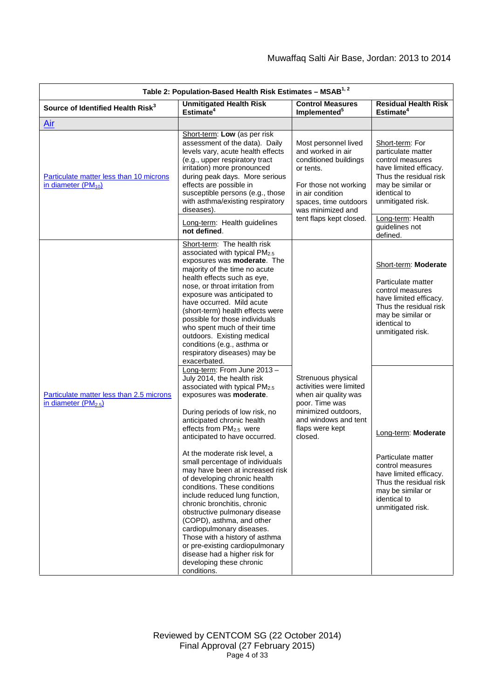| Table 2: Population-Based Health Risk Estimates - MSAB <sup>1, 2</sup>       |                                                                                                                                                                                                                                                                                                                                                                                                                                                                                                                                                                                                                                                                                                                                                   |                                                                                                                                                                                                       |                                                                                                                                                                                                                |  |  |
|------------------------------------------------------------------------------|---------------------------------------------------------------------------------------------------------------------------------------------------------------------------------------------------------------------------------------------------------------------------------------------------------------------------------------------------------------------------------------------------------------------------------------------------------------------------------------------------------------------------------------------------------------------------------------------------------------------------------------------------------------------------------------------------------------------------------------------------|-------------------------------------------------------------------------------------------------------------------------------------------------------------------------------------------------------|----------------------------------------------------------------------------------------------------------------------------------------------------------------------------------------------------------------|--|--|
| Source of Identified Health Risk <sup>3</sup>                                | <b>Unmitigated Health Risk</b><br>Estimate <sup>4</sup>                                                                                                                                                                                                                                                                                                                                                                                                                                                                                                                                                                                                                                                                                           | <b>Control Measures</b><br>Implemented <sup>5</sup>                                                                                                                                                   | <b>Residual Health Risk</b><br>Estimate <sup>4</sup>                                                                                                                                                           |  |  |
| <u>Air</u>                                                                   |                                                                                                                                                                                                                                                                                                                                                                                                                                                                                                                                                                                                                                                                                                                                                   |                                                                                                                                                                                                       |                                                                                                                                                                                                                |  |  |
| Particulate matter less than 10 microns<br>in diameter (PM <sub>10</sub> )   | Short-term: Low (as per risk<br>assessment of the data). Daily<br>levels vary, acute health effects<br>(e.g., upper respiratory tract<br>irritation) more pronounced<br>during peak days. More serious<br>effects are possible in<br>susceptible persons (e.g., those<br>with asthma/existing respiratory<br>diseases).<br>Long-term: Health guidelines<br>not defined.                                                                                                                                                                                                                                                                                                                                                                           | Most personnel lived<br>and worked in air<br>conditioned buildings<br>or tents.<br>For those not working<br>in air condition<br>spaces, time outdoors<br>was minimized and<br>tent flaps kept closed. | Short-term: For<br>particulate matter<br>control measures<br>have limited efficacy.<br>Thus the residual risk<br>may be similar or<br>identical to<br>unmitigated risk.<br>Long-term: Health<br>guidelines not |  |  |
|                                                                              | Short-term: The health risk<br>associated with typical PM <sub>2.5</sub><br>exposures was moderate. The<br>majority of the time no acute<br>health effects such as eye,<br>nose, or throat irritation from<br>exposure was anticipated to<br>have occurred. Mild acute<br>(short-term) health effects were<br>possible for those individuals<br>who spent much of their time<br>outdoors. Existing medical<br>conditions (e.g., asthma or<br>respiratory diseases) may be<br>exacerbated.                                                                                                                                                                                                                                                         |                                                                                                                                                                                                       | defined.<br>Short-term: Moderate<br>Particulate matter<br>control measures<br>have limited efficacy.<br>Thus the residual risk<br>may be similar or<br>identical to<br>unmitigated risk.                       |  |  |
| Particulate matter less than 2.5 microns<br>in diameter (PM <sub>2.5</sub> ) | Long-term: From June 2013 -<br>July 2014, the health risk<br>associated with typical PM2.5<br>exposures was moderate.<br>During periods of low risk, no<br>anticipated chronic health<br>effects from PM <sub>2.5</sub> were<br>anticipated to have occurred.<br>At the moderate risk level, a<br>small percentage of individuals<br>may have been at increased risk<br>of developing chronic health<br>conditions. These conditions<br>include reduced lung function,<br>chronic bronchitis, chronic<br>obstructive pulmonary disease<br>(COPD), asthma, and other<br>cardiopulmonary diseases.<br>Those with a history of asthma<br>or pre-existing cardiopulmonary<br>disease had a higher risk for<br>developing these chronic<br>conditions. | Strenuous physical<br>activities were limited<br>when air quality was<br>poor. Time was<br>minimized outdoors,<br>and windows and tent<br>flaps were kept<br>closed.                                  | Long-term: Moderate<br>Particulate matter<br>control measures<br>have limited efficacy.<br>Thus the residual risk<br>may be similar or<br>identical to<br>unmitigated risk.                                    |  |  |

Reviewed by CENTCOM SG (22 October 2014) Final Approval (27 February 2015) Page 4 of 33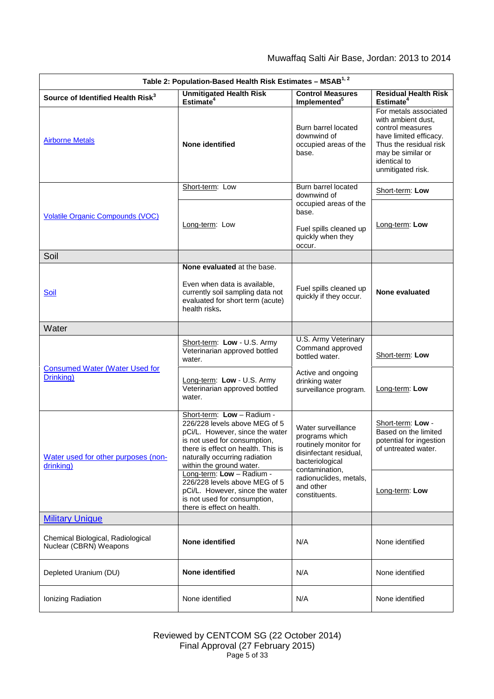| Table 2: Population-Based Health Risk Estimates - MSAB <sup>1, 2</sup> |                                                                                                                                                                                                                                   |                                                                                                            |                                                                                                                                                                               |  |
|------------------------------------------------------------------------|-----------------------------------------------------------------------------------------------------------------------------------------------------------------------------------------------------------------------------------|------------------------------------------------------------------------------------------------------------|-------------------------------------------------------------------------------------------------------------------------------------------------------------------------------|--|
| Source of Identified Health Risk <sup>3</sup>                          | <b>Unmitigated Health Risk</b><br>Estimate <sup>4</sup>                                                                                                                                                                           | <b>Control Measures</b><br>Implemented <sup>5</sup>                                                        | <b>Residual Health Risk</b><br>Estimate <sup>4</sup>                                                                                                                          |  |
| <b>Airborne Metals</b>                                                 | None identified                                                                                                                                                                                                                   | Burn barrel located<br>downwind of<br>occupied areas of the<br>base.                                       | For metals associated<br>with ambient dust,<br>control measures<br>have limited efficacy.<br>Thus the residual risk<br>may be similar or<br>identical to<br>unmitigated risk. |  |
|                                                                        | Short-term: Low                                                                                                                                                                                                                   | Burn barrel located<br>downwind of                                                                         | Short-term: Low                                                                                                                                                               |  |
| <b>Volatile Organic Compounds (VOC)</b>                                | Long-term: Low                                                                                                                                                                                                                    | occupied areas of the<br>base.<br>Fuel spills cleaned up<br>quickly when they<br>occur.                    | Long-term: Low                                                                                                                                                                |  |
| Soil                                                                   |                                                                                                                                                                                                                                   |                                                                                                            |                                                                                                                                                                               |  |
| Soil                                                                   | None evaluated at the base.<br>Even when data is available,<br>currently soil sampling data not<br>evaluated for short term (acute)<br>health risks.                                                                              | Fuel spills cleaned up<br>quickly if they occur.                                                           | None evaluated                                                                                                                                                                |  |
| Water                                                                  |                                                                                                                                                                                                                                   |                                                                                                            |                                                                                                                                                                               |  |
| <b>Consumed Water (Water Used for</b><br>Drinking)                     | Short-term: Low - U.S. Army<br>Veterinarian approved bottled<br>water.                                                                                                                                                            | U.S. Army Veterinary<br>Command approved<br>bottled water.                                                 | Short-term: Low                                                                                                                                                               |  |
|                                                                        | Long-term: Low - U.S. Army<br>Veterinarian approved bottled<br>water.                                                                                                                                                             | Active and ongoing<br>drinking water<br>surveillance program.                                              | Long-term: Low                                                                                                                                                                |  |
| Water used for other purposes (non-<br>drinking)                       | Short-term: Low - Radium -<br>226/228 levels above MEG of 5<br>pCi/L. However, since the water<br>is not used for consumption,<br>there is effect on health. This is<br>naturally occurring radiation<br>within the ground water. | Water surveillance<br>programs which<br>routinely monitor for<br>disinfectant residual,<br>bacteriological | Short-term: Low -<br>Based on the limited<br>potential for ingestion<br>of untreated water.                                                                                   |  |
|                                                                        | Long-term: Low - Radium -<br>226/228 levels above MEG of 5<br>pCi/L. However, since the water<br>is not used for consumption,<br>there is effect on health.                                                                       | contamination,<br>radionuclides, metals,<br>and other<br>constituents.                                     | Long-term: Low                                                                                                                                                                |  |
| <b>Military Unique</b>                                                 |                                                                                                                                                                                                                                   |                                                                                                            |                                                                                                                                                                               |  |
| Chemical Biological, Radiological<br>Nuclear (CBRN) Weapons            | <b>None identified</b>                                                                                                                                                                                                            | N/A                                                                                                        | None identified                                                                                                                                                               |  |
| Depleted Uranium (DU)                                                  | None identified                                                                                                                                                                                                                   | N/A                                                                                                        | None identified                                                                                                                                                               |  |
| Ionizing Radiation                                                     | None identified                                                                                                                                                                                                                   | N/A                                                                                                        | None identified                                                                                                                                                               |  |

Reviewed by CENTCOM SG (22 October 2014) Final Approval (27 February 2015) Page 5 of 33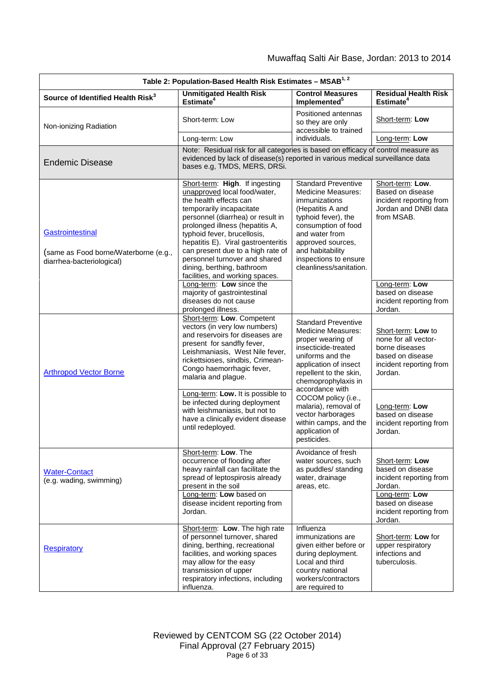| Table 2: Population-Based Health Risk Estimates - MSAB <sup>1, 2</sup>                 |                                                                                                                                                                                                                                                                                                                                                                                                           |                                                                                                                                                                                                                                                           |                                                                                                                        |  |  |
|----------------------------------------------------------------------------------------|-----------------------------------------------------------------------------------------------------------------------------------------------------------------------------------------------------------------------------------------------------------------------------------------------------------------------------------------------------------------------------------------------------------|-----------------------------------------------------------------------------------------------------------------------------------------------------------------------------------------------------------------------------------------------------------|------------------------------------------------------------------------------------------------------------------------|--|--|
| Source of Identified Health Risk <sup>3</sup>                                          | <b>Unmitigated Health Risk</b><br>Estimate <sup>4</sup>                                                                                                                                                                                                                                                                                                                                                   | <b>Control Measures</b><br>Implemented <sup>5</sup>                                                                                                                                                                                                       | <b>Residual Health Risk</b><br>Estimate <sup>4</sup>                                                                   |  |  |
| Non-ionizing Radiation                                                                 | Short-term: Low                                                                                                                                                                                                                                                                                                                                                                                           | Positioned antennas<br>so they are only<br>accessible to trained                                                                                                                                                                                          | Short-term: Low                                                                                                        |  |  |
|                                                                                        | Long-term: Low                                                                                                                                                                                                                                                                                                                                                                                            | individuals.                                                                                                                                                                                                                                              | Long-term: Low                                                                                                         |  |  |
| <b>Endemic Disease</b>                                                                 | Note: Residual risk for all categories is based on efficacy of control measure as<br>evidenced by lack of disease(s) reported in various medical surveillance data<br>bases e.g, TMDS, MERS, DRSi.                                                                                                                                                                                                        |                                                                                                                                                                                                                                                           |                                                                                                                        |  |  |
| Gastrointestinal<br>(same as Food borne/Waterborne (e.g.,<br>diarrhea-bacteriological) | Short-term: High. If ingesting<br>unapproved local food/water,<br>the health effects can<br>temporarily incapacitate<br>personnel (diarrhea) or result in<br>prolonged illness (hepatitis A,<br>typhoid fever, brucellosis,<br>hepatitis E). Viral gastroenteritis<br>can present due to a high rate of<br>personnel turnover and shared<br>dining, berthing, bathroom<br>facilities, and working spaces. | <b>Standard Preventive</b><br><b>Medicine Measures:</b><br>immunizations<br>(Hepatitis A and<br>typhoid fever), the<br>consumption of food<br>and water from<br>approved sources,<br>and habitability<br>inspections to ensure<br>cleanliness/sanitation. | Short-term: Low.<br>Based on disease<br>incident reporting from<br>Jordan and DNBI data<br>from MSAB.                  |  |  |
|                                                                                        | Long-term: Low since the<br>majority of gastrointestinal<br>diseases do not cause<br>prolonged illness.                                                                                                                                                                                                                                                                                                   |                                                                                                                                                                                                                                                           | Long-term: Low<br>based on disease<br>incident reporting from<br>Jordan.                                               |  |  |
| <b>Arthropod Vector Borne</b>                                                          | Short-term: Low. Competent<br>vectors (in very low numbers)<br>and reservoirs for diseases are<br>present for sandfly fever,<br>Leishmaniasis, West Nile fever,<br>rickettsioses, sindbis, Crimean-<br>Congo haemorrhagic fever,<br>malaria and plague.                                                                                                                                                   | <b>Standard Preventive</b><br>Medicine Measures:<br>proper wearing of<br>insecticide-treated<br>uniforms and the<br>application of insect<br>repellent to the skin,<br>chemoprophylaxis in<br>accordance with                                             | Short-term: Low to<br>none for all vector-<br>borne diseases<br>based on disease<br>incident reporting from<br>Jordan. |  |  |
|                                                                                        | Long-term: Low. It is possible to<br>be infected during deployment<br>with leishmaniasis, but not to<br>have a clinically evident disease<br>until redeployed.                                                                                                                                                                                                                                            | COCOM policy (i.e.,<br>malaria), removal of<br>vector harborages<br>within camps, and the<br>application of<br>pesticides.                                                                                                                                | Long-term: Low<br>based on disease<br>incident reporting from<br>Jordan.                                               |  |  |
| <b>Water-Contact</b><br>(e.g. wading, swimming)                                        | Short-term: Low. The<br>occurrence of flooding after<br>heavy rainfall can facilitate the<br>spread of leptospirosis already<br>present in the soil<br>Long-term: Low based on                                                                                                                                                                                                                            | Avoidance of fresh<br>water sources, such<br>as puddles/ standing<br>water, drainage<br>areas, etc.                                                                                                                                                       | Short-term: Low<br>based on disease<br>incident reporting from<br>Jordan.<br>Long-term: Low                            |  |  |
|                                                                                        | disease incident reporting from<br>Jordan.                                                                                                                                                                                                                                                                                                                                                                |                                                                                                                                                                                                                                                           | based on disease<br>incident reporting from<br>Jordan.                                                                 |  |  |
| <b>Respiratory</b>                                                                     | Short-term: Low. The high rate<br>of personnel turnover, shared<br>dining, berthing, recreational<br>facilities, and working spaces<br>may allow for the easy<br>transmission of upper<br>respiratory infections, including<br>influenza.                                                                                                                                                                 | Influenza<br>immunizations are<br>given either before or<br>during deployment.<br>Local and third<br>country national<br>workers/contractors<br>are required to                                                                                           | Short-term: Low for<br>upper respiratory<br>infections and<br>tuberculosis.                                            |  |  |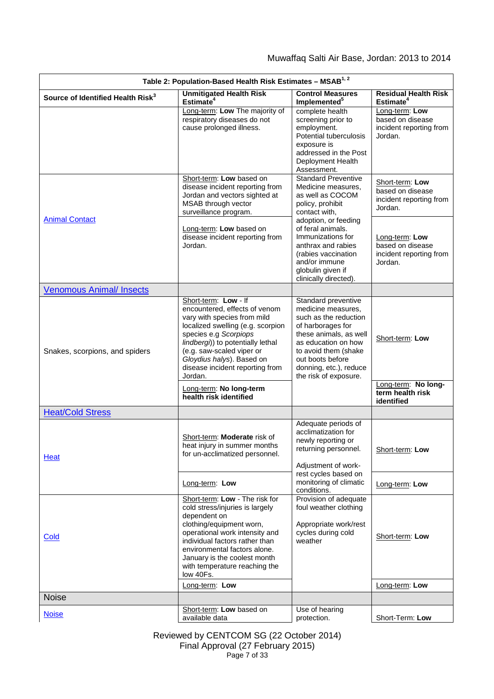| Table 2: Population-Based Health Risk Estimates - MSAB <sup>1, 2</sup> |                                                                                                                                                                                                                                                                                                 |                                                                                                                                                                                                                                         |                                                                           |  |  |
|------------------------------------------------------------------------|-------------------------------------------------------------------------------------------------------------------------------------------------------------------------------------------------------------------------------------------------------------------------------------------------|-----------------------------------------------------------------------------------------------------------------------------------------------------------------------------------------------------------------------------------------|---------------------------------------------------------------------------|--|--|
| Source of Identified Health Risk <sup>3</sup>                          | <b>Unmitigated Health Risk</b><br>Estimate <sup>4</sup>                                                                                                                                                                                                                                         | <b>Control Measures</b><br>Implemented <sup>5</sup>                                                                                                                                                                                     | <b>Residual Health Risk</b><br>Estimate <sup>4</sup>                      |  |  |
|                                                                        | Long-term: Low The majority of<br>respiratory diseases do not<br>cause prolonged illness.                                                                                                                                                                                                       | complete health<br>screening prior to<br>employment.<br><b>Potential tuberculosis</b><br>exposure is<br>addressed in the Post<br>Deployment Health<br>Assessment.                                                                       | Long-term: Low<br>based on disease<br>incident reporting from<br>Jordan.  |  |  |
|                                                                        | Short-term: Low based on<br>disease incident reporting from<br>Jordan and vectors sighted at<br>MSAB through vector<br>surveillance program.                                                                                                                                                    | <b>Standard Preventive</b><br>Medicine measures,<br>as well as COCOM<br>policy, prohibit<br>contact with,                                                                                                                               | Short-term: Low<br>based on disease<br>incident reporting from<br>Jordan. |  |  |
| <b>Animal Contact</b>                                                  | Long-term: Low based on<br>disease incident reporting from<br>Jordan.                                                                                                                                                                                                                           | adoption, or feeding<br>of feral animals.<br>Immunizations for<br>anthrax and rabies<br>(rabies vaccination<br>and/or immune<br>globulin given if<br>clinically directed).                                                              | Long-term: Low<br>based on disease<br>incident reporting from<br>Jordan.  |  |  |
| <b>Venomous Animal/ Insects</b>                                        |                                                                                                                                                                                                                                                                                                 |                                                                                                                                                                                                                                         |                                                                           |  |  |
| Snakes, scorpions, and spiders                                         | Short-term: Low - If<br>encountered, effects of venom<br>vary with species from mild<br>localized swelling (e.g. scorpion<br>species e.g Scorpiops<br>lindbergi)) to potentially lethal<br>(e.g. saw-scaled viper or<br>Gloydius halys). Based on<br>disease incident reporting from<br>Jordan. | Standard preventive<br>medicine measures.<br>such as the reduction<br>of harborages for<br>these animals, as well<br>as education on how<br>to avoid them (shake<br>out boots before<br>donning, etc.), reduce<br>the risk of exposure. | Short-term: Low                                                           |  |  |
|                                                                        | Long-term: No long-term<br>health risk identified                                                                                                                                                                                                                                               |                                                                                                                                                                                                                                         | Long-term: No long-<br>term health risk<br>identified                     |  |  |
| <b>Heat/Cold Stress</b>                                                |                                                                                                                                                                                                                                                                                                 |                                                                                                                                                                                                                                         |                                                                           |  |  |
| Heat                                                                   | Short-term: Moderate risk of<br>heat injury in summer months<br>for un-acclimatized personnel.                                                                                                                                                                                                  | Adequate periods of<br>acclimatization for<br>newly reporting or<br>returning personnel.<br>Adjustment of work-                                                                                                                         | Short-term: Low                                                           |  |  |
|                                                                        | Long-term: Low                                                                                                                                                                                                                                                                                  | rest cycles based on<br>monitoring of climatic<br>conditions.                                                                                                                                                                           | Long-term: Low                                                            |  |  |
| Cold                                                                   | Short-term: Low - The risk for<br>cold stress/injuries is largely<br>dependent on<br>clothing/equipment worn,<br>operational work intensity and<br>individual factors rather than<br>environmental factors alone.<br>January is the coolest month<br>with temperature reaching the<br>low 40Fs. | Provision of adequate<br>foul weather clothing<br>Appropriate work/rest<br>cycles during cold<br>weather                                                                                                                                | Short-term: Low                                                           |  |  |
|                                                                        | Long-term: Low                                                                                                                                                                                                                                                                                  |                                                                                                                                                                                                                                         | Long-term: Low                                                            |  |  |
| <b>Noise</b>                                                           |                                                                                                                                                                                                                                                                                                 |                                                                                                                                                                                                                                         |                                                                           |  |  |
| <b>Noise</b>                                                           | Short-term: Low based on<br>available data                                                                                                                                                                                                                                                      | Use of hearing<br>protection.                                                                                                                                                                                                           | Short-Term: Low                                                           |  |  |

Reviewed by CENTCOM SG (22 October 2014) Final Approval (27 February 2015) Page 7 of 33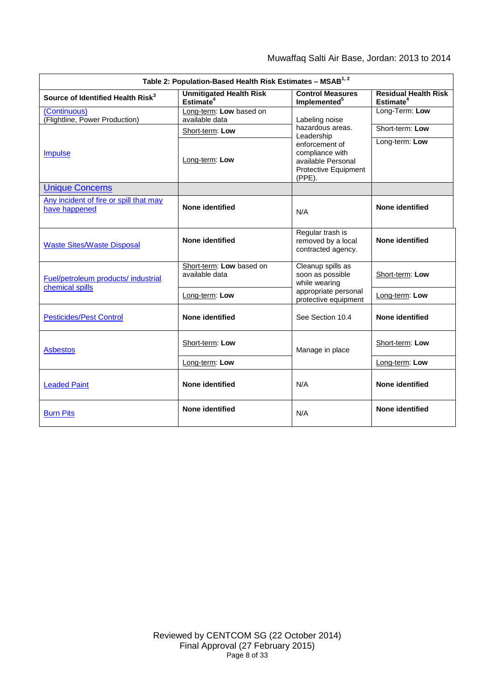| Table 2: Population-Based Health Risk Estimates - MSAB <sup>1, 2</sup> |                                                         |                                                                                              |                                                      |  |
|------------------------------------------------------------------------|---------------------------------------------------------|----------------------------------------------------------------------------------------------|------------------------------------------------------|--|
| Source of Identified Health Risk <sup>3</sup>                          | <b>Unmitigated Health Risk</b><br>Estimate <sup>4</sup> | <b>Control Measures</b><br>Implemented <sup>5</sup>                                          | <b>Residual Health Risk</b><br>Estimate <sup>4</sup> |  |
| <i>(Continuous)</i><br>(Flightline, Power Production)                  | Long-term: Low based on<br>available data               | Labeling noise                                                                               | Long-Term: Low                                       |  |
|                                                                        | Short-term: Low                                         | hazardous areas.<br>Leadership                                                               | Short-term: Low                                      |  |
| <b>Impulse</b>                                                         | Long-term: Low                                          | enforcement of<br>compliance with<br>available Personal<br>Protective Equipment<br>$(PPE)$ . | Long-term: Low                                       |  |
| <b>Unique Concerns</b>                                                 |                                                         |                                                                                              |                                                      |  |
| Any incident of fire or spill that may<br>have happened                | None identified                                         | N/A                                                                                          | None identified                                      |  |
| <b>Waste Sites/Waste Disposal</b>                                      | None identified                                         | Regular trash is<br>removed by a local<br>contracted agency.                                 | None identified                                      |  |
| Fuel/petroleum products/ industrial<br>chemical spills                 | Short-term: Low based on<br>available data              | Cleanup spills as<br>soon as possible<br>while wearing                                       | Short-term: Low                                      |  |
|                                                                        | Long-term: Low                                          | appropriate personal<br>protective equipment                                                 | Long-term: Low                                       |  |
| <b>Pesticides/Pest Control</b>                                         | None identified                                         | See Section 10.4                                                                             | None identified                                      |  |
| <b>Asbestos</b>                                                        | Short-term: Low                                         | Manage in place                                                                              | Short-term: Low                                      |  |
|                                                                        | Long-term: Low                                          |                                                                                              | Long-term: Low                                       |  |
| <b>Leaded Paint</b>                                                    | None identified                                         | N/A                                                                                          | None identified                                      |  |
| <b>Burn Pits</b>                                                       | None identified                                         | N/A                                                                                          | None identified                                      |  |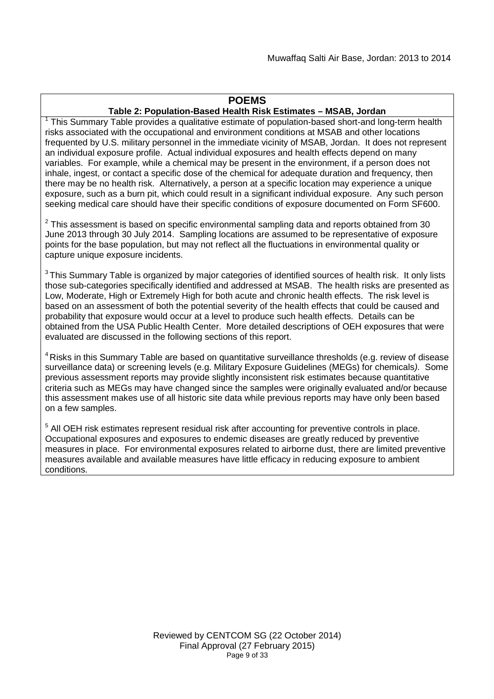# **POEMS**

## **Table 2: Population-Based Health Risk Estimates – MSAB, Jordan**

 $1$  This Summary Table provides a qualitative estimate of population-based short-and long-term health risks associated with the occupational and environment conditions at MSAB and other locations frequented by U.S. military personnel in the immediate vicinity of MSAB, Jordan. It does not represent an individual exposure profile. Actual individual exposures and health effects depend on many variables. For example, while a chemical may be present in the environment, if a person does not inhale, ingest, or contact a specific dose of the chemical for adequate duration and frequency, then there may be no health risk. Alternatively, a person at a specific location may experience a unique exposure, such as a burn pit, which could result in a significant individual exposure. Any such person seeking medical care should have their specific conditions of exposure documented on Form SF600.

 $2$  This assessment is based on specific environmental sampling data and reports obtained from 30 June 2013 through 30 July 2014. Sampling locations are assumed to be representative of exposure points for the base population, but may not reflect all the fluctuations in environmental quality or capture unique exposure incidents.

<sup>3</sup> This Summary Table is organized by major categories of identified sources of health risk. It only lists those sub-categories specifically identified and addressed at MSAB. The health risks are presented as Low, Moderate, High or Extremely High for both acute and chronic health effects. The risk level is based on an assessment of both the potential severity of the health effects that could be caused and probability that exposure would occur at a level to produce such health effects. Details can be obtained from the USA Public Health Center. More detailed descriptions of OEH exposures that were evaluated are discussed in the following sections of this report.

<sup>4</sup> Risks in this Summary Table are based on quantitative surveillance thresholds (e.g. review of disease surveillance data) or screening levels (e.g. Military Exposure Guidelines (MEGs) for chemicals*).* Some previous assessment reports may provide slightly inconsistent risk estimates because quantitative criteria such as MEGs may have changed since the samples were originally evaluated and/or because this assessment makes use of all historic site data while previous reports may have only been based on a few samples.

<sup>5</sup> All OEH risk estimates represent residual risk after accounting for preventive controls in place. Occupational exposures and exposures to endemic diseases are greatly reduced by preventive measures in place. For environmental exposures related to airborne dust, there are limited preventive measures available and available measures have little efficacy in reducing exposure to ambient conditions.

> Reviewed by CENTCOM SG (22 October 2014) Final Approval (27 February 2015) Page 9 of 33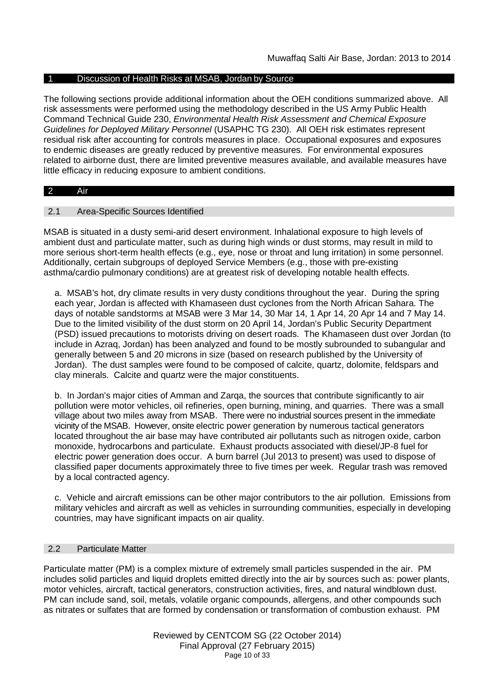#### 1 Discussion of Health Risks at MSAB, Jordan by Source

The following sections provide additional information about the OEH conditions summarized above. All risk assessments were performed using the methodology described in the US Army Public Health Command Technical Guide 230, *Environmental Health Risk Assessment and Chemical Exposure Guidelines for Deployed Military Personnel* (USAPHC TG 230). All OEH risk estimates represent residual risk after accounting for controls measures in place. Occupational exposures and exposures to endemic diseases are greatly reduced by preventive measures. For environmental exposures related to airborne dust, there are limited preventive measures available, and available measures have little efficacy in reducing exposure to ambient conditions.

#### 2 Air

#### 2.1 Area-Specific Sources Identified

MSAB is situated in a dusty semi-arid desert environment. Inhalational exposure to high levels of ambient dust and particulate matter, such as during high winds or dust storms, may result in mild to more serious short-term health effects (e.g., eye, nose or throat and lung irritation) in some personnel. Additionally, certain subgroups of deployed Service Members (e.g., those with pre-existing asthma/cardio pulmonary conditions) are at greatest risk of developing notable health effects.

a. MSAB's hot, dry climate results in very dusty conditions throughout the year. During the spring each year, Jordan is affected with Khamaseen dust cyclones from the North African Sahara. The days of notable sandstorms at MSAB were 3 Mar 14, 30 Mar 14, 1 Apr 14, 20 Apr 14 and 7 May 14. Due to the limited visibility of the dust storm on 20 April 14, Jordan's Public Security Department (PSD) issued precautions to motorists driving on desert roads. The Khamaseen dust over Jordan (to include in Azraq, Jordan) has been analyzed and found to be mostly subrounded to subangular and generally between 5 and 20 microns in size (based on research published by the University of Jordan). The dust samples were found to be composed of calcite, quartz, dolomite, feldspars and clay minerals. Calcite and quartz were the major constituents.

b. In Jordan's major cities of Amman and Zarqa, the sources that contribute significantly to air pollution were motor vehicles, oil refineries, open burning, mining, and quarries. There was a small village about two miles away from MSAB. There were no industrial sources present in the immediate vicinity of the MSAB. However, onsite electric power generation by numerous tactical generators located throughout the air base may have contributed air pollutants such as nitrogen oxide, carbon monoxide, hydrocarbons and particulate. Exhaust products associated with diesel/JP-8 fuel for electric power generation does occur. A burn barrel (Jul 2013 to present) was used to dispose of classified paper documents approximately three to five times per week. Regular trash was removed by a local contracted agency.

c. Vehicle and aircraft emissions can be other major contributors to the air pollution. Emissions from military vehicles and aircraft as well as vehicles in surrounding communities, especially in developing countries, may have significant impacts on air quality.

#### 2.2 Particulate Matter

Particulate matter (PM) is a complex mixture of extremely small particles suspended in the air. PM includes solid particles and liquid droplets emitted directly into the air by sources such as: power plants, motor vehicles, aircraft, tactical generators, construction activities, fires, and natural windblown dust. PM can include sand, soil, metals, volatile organic compounds, allergens, and other compounds such as nitrates or sulfates that are formed by condensation or transformation of combustion exhaust. PM

> Reviewed by CENTCOM SG (22 October 2014) Final Approval (27 February 2015) Page 10 of 33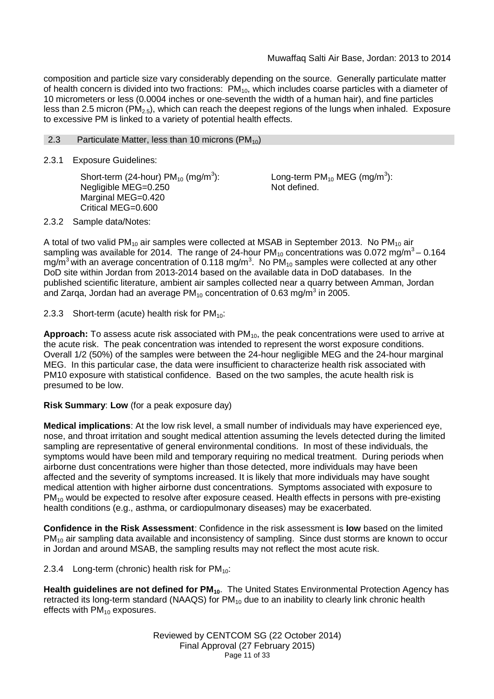composition and particle size vary considerably depending on the source. Generally particulate matter of health concern is divided into two fractions:  $PM_{10}$ , which includes coarse particles with a diameter of 10 micrometers or less (0.0004 inches or one-seventh the width of a human hair), and fine particles less than 2.5 micron (PM<sub>2.5</sub>), which can reach the deepest regions of the lungs when inhaled. Exposure to excessive PM is linked to a variety of potential health effects.

2.3 Particulate Matter, less than 10 microns  $(PM_{10})$ 

2.3.1 Exposure Guidelines:

Short-term (24-hour)  $PM_{10}$  (mg/m<sup>3</sup>): Negligible MEG=0.250 Marginal MEG=0.420 Critical MEG=0.600

Long-term PM $_{10}$  MEG (mg/m $^3$ ): Not defined.

2.3.2 Sample data/Notes:

A total of two valid PM<sub>10</sub> air samples were collected at MSAB in September 2013. No PM<sub>10</sub> air sampling was available for 2014. The range of 24-hour PM<sub>10</sub> concentrations was 0.072 mg/m<sup>3</sup> – 0.164 mg/m<sup>3</sup> with an average concentration of 0.118 mg/m<sup>3</sup>. No PM<sub>10</sub> samples were collected at any other DoD site within Jordan from 2013-2014 based on the available data in DoD databases. In the published scientific literature, ambient air samples collected near a quarry between Amman, Jordan and Zarqa, Jordan had an average PM<sub>10</sub> concentration of 0.63 mg/m<sup>3</sup> in 2005.

2.3.3 Short-term (acute) health risk for  $PM_{10}$ :

Approach: To assess acute risk associated with PM<sub>10</sub>, the peak concentrations were used to arrive at the acute risk. The peak concentration was intended to represent the worst exposure conditions. Overall 1/2 (50%) of the samples were between the 24-hour negligible MEG and the 24-hour marginal MEG. In this particular case, the data were insufficient to characterize health risk associated with PM10 exposure with statistical confidence. Based on the two samples, the acute health risk is presumed to be low.

**Risk Summary**: **Low** (for a peak exposure day)

**Medical implications**: At the low risk level, a small number of individuals may have experienced eye, nose, and throat irritation and sought medical attention assuming the levels detected during the limited sampling are representative of general environmental conditions. In most of these individuals, the symptoms would have been mild and temporary requiring no medical treatment. During periods when airborne dust concentrations were higher than those detected, more individuals may have been affected and the severity of symptoms increased. It is likely that more individuals may have sought medical attention with higher airborne dust concentrations. Symptoms associated with exposure to  $PM_{10}$  would be expected to resolve after exposure ceased. Health effects in persons with pre-existing health conditions (e.g., asthma, or cardiopulmonary diseases) may be exacerbated.

**Confidence in the Risk Assessment**: Confidence in the risk assessment is **low** based on the limited PM<sub>10</sub> air sampling data available and inconsistency of sampling. Since dust storms are known to occur in Jordan and around MSAB, the sampling results may not reflect the most acute risk.

2.3.4 Long-term (chronic) health risk for  $PM_{10}$ :

**Health guidelines are not defined for PM10**. The United States Environmental Protection Agency has retracted its long-term standard (NAAQS) for  $PM_{10}$  due to an inability to clearly link chronic health effects with  $PM_{10}$  exposures.

> Reviewed by CENTCOM SG (22 October 2014) Final Approval (27 February 2015) Page 11 of 33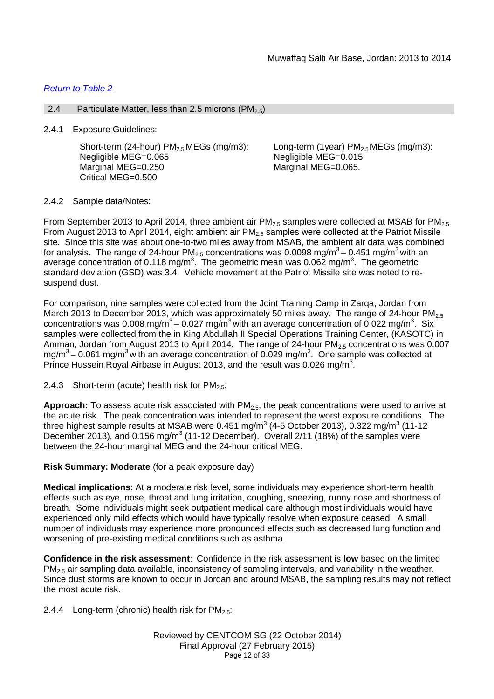## *Return to Table 2*

#### 2.4 Particulate Matter, less than 2.5 microns ( $PM_{2.5}$ )

2.4.1 Exposure Guidelines:

Short-term (24-hour)  $PM<sub>2.5</sub> MEGs$  (mg/m3): Negligible MEG=0.065 Marginal MEG=0.250 Critical MEG=0.500

Long-term (1year)  $PM<sub>2.5</sub> MEGs$  (mg/m3): Negligible MEG=0.015 Marginal MEG=0.065.

#### 2.4.2 Sample data/Notes:

From September 2013 to April 2014, three ambient air  $PM_{2.5}$  samples were collected at MSAB for  $PM_{2.5}$ . From August 2013 to April 2014, eight ambient air  $PM<sub>2.5</sub>$  samples were collected at the Patriot Missile site. Since this site was about one-to-two miles away from MSAB, the ambient air data was combined for analysis. The range of 24-hour PM $_{2.5}$  concentrations was 0.0098 mg/m $^3$ – 0.451 mg/m $^3$  with an average concentration of 0.118 mg/m<sup>3</sup>. The geometric mean was 0.062 mg/m<sup>3</sup>. The geometric standard deviation (GSD) was 3.4. Vehicle movement at the Patriot Missile site was noted to resuspend dust.

For comparison, nine samples were collected from the Joint Training Camp in Zarqa, Jordan from March 2013 to December 2013, which was approximately 50 miles away. The range of 24-hour PM<sub>2.5</sub> concentrations was 0.008 mg/m<sup>3</sup> – 0.027 mg/m<sup>3</sup> with an average concentration of 0.022 mg/m<sup>3</sup>. Six samples were collected from the in King Abdullah II Special Operations Training Center, (KASOTC) in Amman, Jordan from August 2013 to April 2014. The range of 24-hour  $PM_{2.5}$  concentrations was 0.007 mg/m $^3$ – 0.061 mg/m $^3$ with an average concentration of 0.029 mg/m $^3$ . One sample was collected at Prince Hussein Royal Airbase in August 2013, and the result was 0.026 mg/m<sup>3</sup>.

2.4.3 Short-term (acute) health risk for  $PM_{2.5}$ :

**Approach:** To assess acute risk associated with  $PM_{2.5}$ , the peak concentrations were used to arrive at the acute risk. The peak concentration was intended to represent the worst exposure conditions. The three highest sample results at MSAB were 0.451 mg/m $^3$  (4-5 October 2013), 0.322 mg/m $^3$  (11-12 December 2013), and 0.156 mg/m<sup>3</sup> (11-12 December). Overall 2/11 (18%) of the samples were between the 24-hour marginal MEG and the 24-hour critical MEG.

## **Risk Summary: Moderate** (for a peak exposure day)

**Medical implications**: At a moderate risk level, some individuals may experience short-term health effects such as eye, nose, throat and lung irritation, coughing, sneezing, runny nose and shortness of breath. Some individuals might seek outpatient medical care although most individuals would have experienced only mild effects which would have typically resolve when exposure ceased. A small number of individuals may experience more pronounced effects such as decreased lung function and worsening of pre-existing medical conditions such as asthma.

**Confidence in the risk assessment**: Confidence in the risk assessment is **low** based on the limited PM2.5 air sampling data available, inconsistency of sampling intervals, and variability in the weather. Since dust storms are known to occur in Jordan and around MSAB, the sampling results may not reflect the most acute risk.

2.4.4 Long-term (chronic) health risk for  $PM_{2.5}$ :

Reviewed by CENTCOM SG (22 October 2014) Final Approval (27 February 2015) Page 12 of 33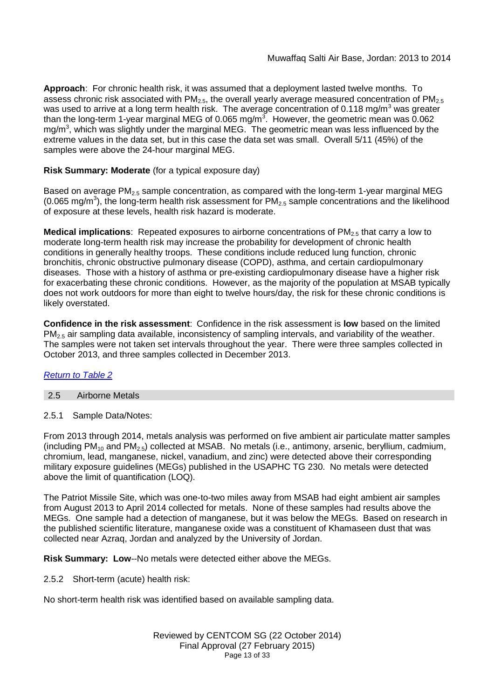**Approach**: For chronic health risk, it was assumed that a deployment lasted twelve months. To assess chronic risk associated with  $PM<sub>2.5</sub>$ , the overall yearly average measured concentration of  $PM<sub>2.5</sub>$ was used to arrive at a long term health risk. The average concentration of 0.118 mg/m<sup>3</sup> was greater than the long-term 1-year marginal MEG of 0.065 mg/m<sup>3</sup>. However, the geometric mean was 0.062 mg/m<sup>3</sup>, which was slightly under the marginal MEG. The geometric mean was less influenced by the extreme values in the data set, but in this case the data set was small. Overall 5/11 (45%) of the samples were above the 24-hour marginal MEG.

# **Risk Summary: Moderate** (for a typical exposure day)

Based on average PM<sub>2.5</sub> sample concentration, as compared with the long-term 1-year marginal MEG (0.065 mg/m<sup>3</sup>), the long-term health risk assessment for PM<sub>2.5</sub> sample concentrations and the likelihood of exposure at these levels, health risk hazard is moderate.

**Medical implications**: Repeated exposures to airborne concentrations of PM<sub>2.5</sub> that carry a low to moderate long-term health risk may increase the probability for development of chronic health conditions in generally healthy troops. These conditions include reduced lung function, chronic bronchitis, chronic obstructive pulmonary disease (COPD), asthma, and certain cardiopulmonary diseases. Those with a history of asthma or pre-existing cardiopulmonary disease have a higher risk for exacerbating these chronic conditions. However, as the majority of the population at MSAB typically does not work outdoors for more than eight to twelve hours/day, the risk for these chronic conditions is likely overstated.

**Confidence in the risk assessment**: Confidence in the risk assessment is **low** based on the limited  $PM<sub>2.5</sub>$  air sampling data available, inconsistency of sampling intervals, and variability of the weather. The samples were not taken set intervals throughout the year. There were three samples collected in October 2013, and three samples collected in December 2013.

# *Return to Table 2*

# 2.5 Airborne Metals

2.5.1 Sample Data/Notes:

From 2013 through 2014, metals analysis was performed on five ambient air particulate matter samples (including  $PM_{10}$  and  $PM_{2.5}$ ) collected at MSAB. No metals (i.e., antimony, arsenic, beryllium, cadmium, chromium, lead, manganese, nickel, vanadium, and zinc) were detected above their corresponding military exposure guidelines (MEGs) published in the USAPHC TG 230. No metals were detected above the limit of quantification (LOQ).

The Patriot Missile Site, which was one-to-two miles away from MSAB had eight ambient air samples from August 2013 to April 2014 collected for metals. None of these samples had results above the MEGs. One sample had a detection of manganese, but it was below the MEGs. Based on research in the published scientific literature, manganese oxide was a constituent of Khamaseen dust that was collected near Azraq, Jordan and analyzed by the University of Jordan.

**Risk Summary: Low**--No metals were detected either above the MEGs.

2.5.2 Short-term (acute) health risk:

No short-term health risk was identified based on available sampling data.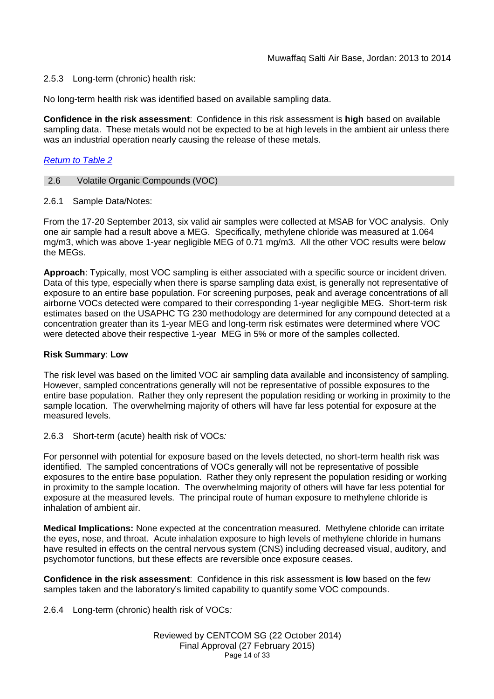## 2.5.3 Long-term (chronic) health risk:

No long-term health risk was identified based on available sampling data.

**Confidence in the risk assessment**: Confidence in this risk assessment is **high** based on available sampling data. These metals would not be expected to be at high levels in the ambient air unless there was an industrial operation nearly causing the release of these metals.

#### *Return to Table 2*

#### 2.6 Volatile Organic Compounds (VOC)

2.6.1 Sample Data/Notes:

From the 17-20 September 2013, six valid air samples were collected at MSAB for VOC analysis. Only one air sample had a result above a MEG. Specifically, methylene chloride was measured at 1.064 mg/m3, which was above 1-year negligible MEG of 0.71 mg/m3. All the other VOC results were below the MEGs.

**Approach**: Typically, most VOC sampling is either associated with a specific source or incident driven. Data of this type, especially when there is sparse sampling data exist, is generally not representative of exposure to an entire base population. For screening purposes, peak and average concentrations of all airborne VOCs detected were compared to their corresponding 1-year negligible MEG. Short-term risk estimates based on the USAPHC TG 230 methodology are determined for any compound detected at a concentration greater than its 1-year MEG and long-term risk estimates were determined where VOC were detected above their respective 1-year MEG in 5% or more of the samples collected.

#### **Risk Summary**: **Low**

The risk level was based on the limited VOC air sampling data available and inconsistency of sampling. However, sampled concentrations generally will not be representative of possible exposures to the entire base population. Rather they only represent the population residing or working in proximity to the sample location. The overwhelming majority of others will have far less potential for exposure at the measured levels.

#### 2.6.3 Short-term (acute) health risk of VOCs*:*

For personnel with potential for exposure based on the levels detected, no short-term health risk was identified. The sampled concentrations of VOCs generally will not be representative of possible exposures to the entire base population. Rather they only represent the population residing or working in proximity to the sample location. The overwhelming majority of others will have far less potential for exposure at the measured levels. The principal route of human exposure to methylene chloride is inhalation of ambient air.

**Medical Implications:** None expected at the concentration measured. Methylene chloride can irritate the eyes, nose, and throat. Acute inhalation exposure to high levels of methylene chloride in humans have resulted in effects on the central nervous system (CNS) including decreased visual, auditory, and psychomotor functions, but these effects are reversible once exposure ceases.

**Confidence in the risk assessment**: Confidence in this risk assessment is **low** based on the few samples taken and the laboratory's limited capability to quantify some VOC compounds.

2.6.4 Long-term (chronic) health risk of VOCs*:*

Reviewed by CENTCOM SG (22 October 2014) Final Approval (27 February 2015) Page 14 of 33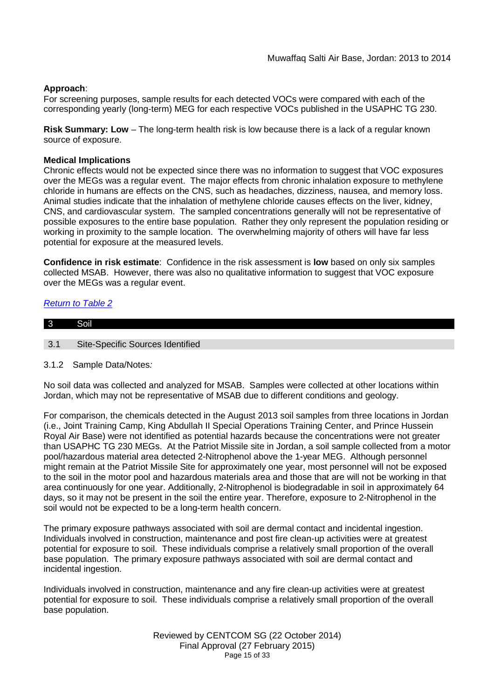## **Approach**:

For screening purposes, sample results for each detected VOCs were compared with each of the corresponding yearly (long-term) MEG for each respective VOCs published in the USAPHC TG 230.

**Risk Summary: Low** – The long-term health risk is low because there is a lack of a regular known source of exposure.

## **Medical Implications**

Chronic effects would not be expected since there was no information to suggest that VOC exposures over the MEGs was a regular event. The major effects from chronic inhalation exposure to methylene chloride in humans are effects on the CNS, such as headaches, dizziness, nausea, and memory loss. Animal studies indicate that the inhalation of methylene chloride causes effects on the liver, kidney, CNS, and cardiovascular system. The sampled concentrations generally will not be representative of possible exposures to the entire base population. Rather they only represent the population residing or working in proximity to the sample location. The overwhelming majority of others will have far less potential for exposure at the measured levels.

**Confidence in risk estimate**: Confidence in the risk assessment is **low** based on only six samples collected MSAB. However, there was also no qualitative information to suggest that VOC exposure over the MEGs was a regular event.

## *Return to Table 2*

| $\overline{3}$ |                                  |
|----------------|----------------------------------|
|                |                                  |
| 3.1            | Site-Specific Sources Identified |

#### 3.1.2 Sample Data/Notes*:*

No soil data was collected and analyzed for MSAB. Samples were collected at other locations within Jordan, which may not be representative of MSAB due to different conditions and geology.

For comparison, the chemicals detected in the August 2013 soil samples from three locations in Jordan (i.e., Joint Training Camp, King Abdullah II Special Operations Training Center, and Prince Hussein Royal Air Base) were not identified as potential hazards because the concentrations were not greater than USAPHC TG 230 MEGs. At the Patriot Missile site in Jordan, a soil sample collected from a motor pool/hazardous material area detected 2-Nitrophenol above the 1-year MEG. Although personnel might remain at the Patriot Missile Site for approximately one year, most personnel will not be exposed to the soil in the motor pool and hazardous materials area and those that are will not be working in that area continuously for one year. Additionally, 2-Nitrophenol is biodegradable in soil in approximately 64 days, so it may not be present in the soil the entire year. Therefore, exposure to 2-Nitrophenol in the soil would not be expected to be a long-term health concern.

The primary exposure pathways associated with soil are dermal contact and incidental ingestion. Individuals involved in construction, maintenance and post fire clean-up activities were at greatest potential for exposure to soil. These individuals comprise a relatively small proportion of the overall base population. The primary exposure pathways associated with soil are dermal contact and incidental ingestion.

Individuals involved in construction, maintenance and any fire clean-up activities were at greatest potential for exposure to soil. These individuals comprise a relatively small proportion of the overall base population.

> Reviewed by CENTCOM SG (22 October 2014) Final Approval (27 February 2015) Page 15 of 33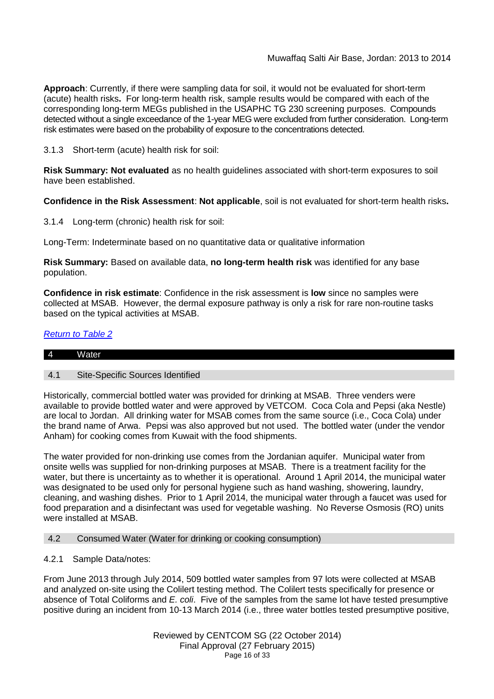**Approach**: Currently, if there were sampling data for soil, it would not be evaluated for short-term (acute) health risks**.** For long-term health risk, sample results would be compared with each of the corresponding long-term MEGs published in the USAPHC TG 230 screening purposes. Compounds detected without a single exceedance of the 1-year MEG were excluded from further consideration. Long-term risk estimates were based on the probability of exposure to the concentrations detected.

3.1.3 Short-term (acute) health risk for soil:

**Risk Summary: Not evaluated** as no health guidelines associated with short-term exposures to soil have been established.

**Confidence in the Risk Assessment**: **Not applicable**, soil is not evaluated for short-term health risks**.**

3.1.4 Long-term (chronic) health risk for soil:

Long-Term: Indeterminate based on no quantitative data or qualitative information

**Risk Summary:** Based on available data, **no long-term health risk** was identified for any base population.

**Confidence in risk estimate**: Confidence in the risk assessment is **low** since no samples were collected at MSAB. However, the dermal exposure pathway is only a risk for rare non-routine tasks based on the typical activities at MSAB.

# *Return to Table 2*

| l 4 | . .<br>.<br>VAV |  |  |
|-----|-----------------|--|--|
|     |                 |  |  |

## 4.1 Site-Specific Sources Identified

Historically, commercial bottled water was provided for drinking at MSAB. Three venders were available to provide bottled water and were approved by VETCOM. Coca Cola and Pepsi (aka Nestle) are local to Jordan. All drinking water for MSAB comes from the same source (i.e., Coca Cola) under the brand name of Arwa. Pepsi was also approved but not used. The bottled water (under the vendor Anham) for cooking comes from Kuwait with the food shipments.

The water provided for non-drinking use comes from the Jordanian aquifer. Municipal water from onsite wells was supplied for non-drinking purposes at MSAB. There is a treatment facility for the water, but there is uncertainty as to whether it is operational. Around 1 April 2014, the municipal water was designated to be used only for personal hygiene such as hand washing, showering, laundry, cleaning, and washing dishes. Prior to 1 April 2014, the municipal water through a faucet was used for food preparation and a disinfectant was used for vegetable washing. No Reverse Osmosis (RO) units were installed at MSAB.

#### 4.2 Consumed Water (Water for drinking or cooking consumption)

## 4.2.1 Sample Data/notes:

From June 2013 through July 2014, 509 bottled water samples from 97 lots were collected at MSAB and analyzed on-site using the Colilert testing method. The Colilert tests specifically for presence or absence of Total Coliforms and *E. coli*. Five of the samples from the same lot have tested presumptive positive during an incident from 10-13 March 2014 (i.e., three water bottles tested presumptive positive,

> Reviewed by CENTCOM SG (22 October 2014) Final Approval (27 February 2015) Page 16 of 33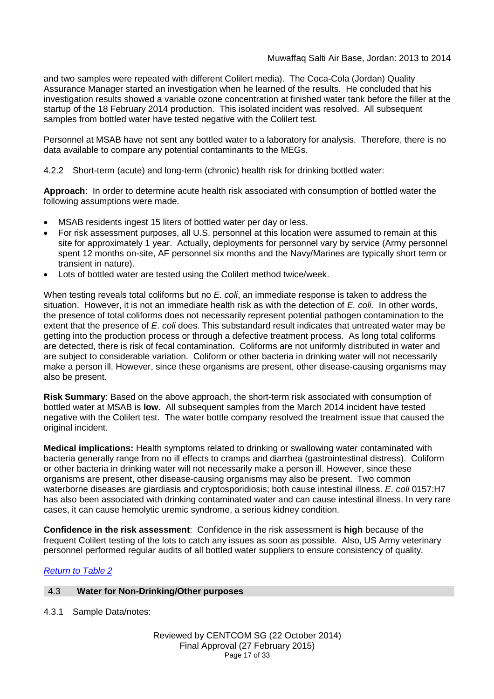## Muwaffaq Salti Air Base, Jordan: 2013 to 2014

and two samples were repeated with different Colilert media). The Coca-Cola (Jordan) Quality Assurance Manager started an investigation when he learned of the results. He concluded that his investigation results showed a variable ozone concentration at finished water tank before the filler at the startup of the 18 February 2014 production. This isolated incident was resolved. All subsequent samples from bottled water have tested negative with the Colilert test.

Personnel at MSAB have not sent any bottled water to a laboratory for analysis. Therefore, there is no data available to compare any potential contaminants to the MEGs.

4.2.2 Short-term (acute) and long-term (chronic) health risk for drinking bottled water:

**Approach**: In order to determine acute health risk associated with consumption of bottled water the following assumptions were made.

- MSAB residents ingest 15 liters of bottled water per day or less.
- For risk assessment purposes, all U.S. personnel at this location were assumed to remain at this site for approximately 1 year. Actually, deployments for personnel vary by service (Army personnel spent 12 months on-site, AF personnel six months and the Navy/Marines are typically short term or transient in nature).
- Lots of bottled water are tested using the Colilert method twice/week.

When testing reveals total coliforms but no *E. coli*, an immediate response is taken to address the situation. However, it is not an immediate health risk as with the detection of *E. coli.* In other words, the presence of total coliforms does not necessarily represent potential pathogen contamination to the extent that the presence of *E. coli* does. This substandard result indicates that untreated water may be getting into the production process or through a defective treatment process. As long total coliforms are detected, there is risk of fecal contamination. Coliforms are not uniformly distributed in water and are subject to considerable variation. Coliform or other bacteria in drinking water will not necessarily make a person ill. However, since these organisms are present, other disease-causing organisms may also be present.

**Risk Summary**: Based on the above approach, the short-term risk associated with consumption of bottled water at MSAB is **low**. All subsequent samples from the March 2014 incident have tested negative with the Colilert test. The water bottle company resolved the treatment issue that caused the original incident.

**Medical implications:** Health symptoms related to drinking or swallowing water contaminated with bacteria generally range from no ill effects to cramps and diarrhea (gastrointestinal distress). Coliform or other bacteria in drinking water will not necessarily make a person ill. However, since these organisms are present, other disease-causing organisms may also be present. Two common waterborne diseases are giardiasis and cryptosporidiosis; both cause intestinal illness. *E. coli* 0157:H7 has also been associated with drinking contaminated water and can cause intestinal illness. In very rare cases, it can cause hemolytic uremic syndrome, a serious kidney condition.

**Confidence in the risk assessment**: Confidence in the risk assessment is **high** because of the frequent Colilert testing of the lots to catch any issues as soon as possible. Also, US Army veterinary personnel performed regular audits of all bottled water suppliers to ensure consistency of quality.

## *Return to Table 2*

#### 4.3 **Water for Non-Drinking/Other purposes**

4.3.1 Sample Data/notes: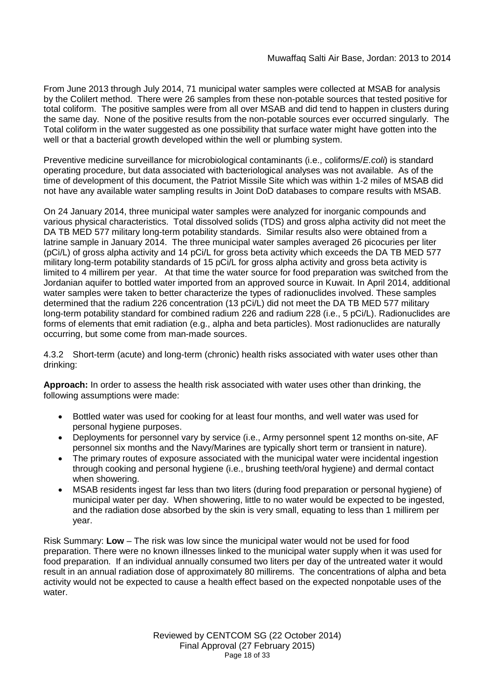From June 2013 through July 2014, 71 municipal water samples were collected at MSAB for analysis by the Colilert method. There were 26 samples from these non-potable sources that tested positive for total coliform. The positive samples were from all over MSAB and did tend to happen in clusters during the same day. None of the positive results from the non-potable sources ever occurred singularly. The Total coliform in the water suggested as one possibility that surface water might have gotten into the well or that a bacterial growth developed within the well or plumbing system.

Preventive medicine surveillance for microbiological contaminants (i.e., coliforms/*E.coli*) is standard operating procedure, but data associated with bacteriological analyses was not available. As of the time of development of this document, the Patriot Missile Site which was within 1-2 miles of MSAB did not have any available water sampling results in Joint DoD databases to compare results with MSAB.

On 24 January 2014, three municipal water samples were analyzed for inorganic compounds and various physical characteristics. Total dissolved solids (TDS) and gross alpha activity did not meet the DA TB MED 577 military long-term potability standards. Similar results also were obtained from a latrine sample in January 2014. The three municipal water samples averaged 26 picocuries per liter (pCi/L) of gross alpha activity and 14 pCi/L for gross beta activity which exceeds the DA TB MED 577 military long-term potability standards of 15 pCi/L for gross alpha activity and gross beta activity is limited to 4 millirem per year. At that time the water source for food preparation was switched from the Jordanian aquifer to bottled water imported from an approved source in Kuwait. In April 2014, additional water samples were taken to better characterize the types of radionuclides involved. These samples determined that the radium 226 concentration (13 pCi/L) did not meet the DA TB MED 577 military long-term potability standard for combined radium 226 and radium 228 (i.e., 5 pCi/L). Radionuclides are forms of elements that emit radiation (e.g., alpha and beta particles). Most radionuclides are naturally occurring, but some come from man-made sources.

4.3.2 Short-term (acute) and long-term (chronic) health risks associated with water uses other than drinking:

**Approach:** In order to assess the health risk associated with water uses other than drinking, the following assumptions were made:

- Bottled water was used for cooking for at least four months, and well water was used for personal hygiene purposes.
- Deployments for personnel vary by service (i.e., Army personnel spent 12 months on-site, AF personnel six months and the Navy/Marines are typically short term or transient in nature).
- The primary routes of exposure associated with the municipal water were incidental ingestion through cooking and personal hygiene (i.e., brushing teeth/oral hygiene) and dermal contact when showering.
- MSAB residents ingest far less than two liters (during food preparation or personal hygiene) of municipal water per day. When showering, little to no water would be expected to be ingested, and the radiation dose absorbed by the skin is very small, equating to less than 1 millirem per year.

Risk Summary: **Low** – The risk was low since the municipal water would not be used for food preparation. There were no known illnesses linked to the municipal water supply when it was used for food preparation. If an individual annually consumed two liters per day of the untreated water it would result in an annual radiation dose of approximately 80 millirems. The concentrations of alpha and beta activity would not be expected to cause a health effect based on the expected nonpotable uses of the water.

> Reviewed by CENTCOM SG (22 October 2014) Final Approval (27 February 2015) Page 18 of 33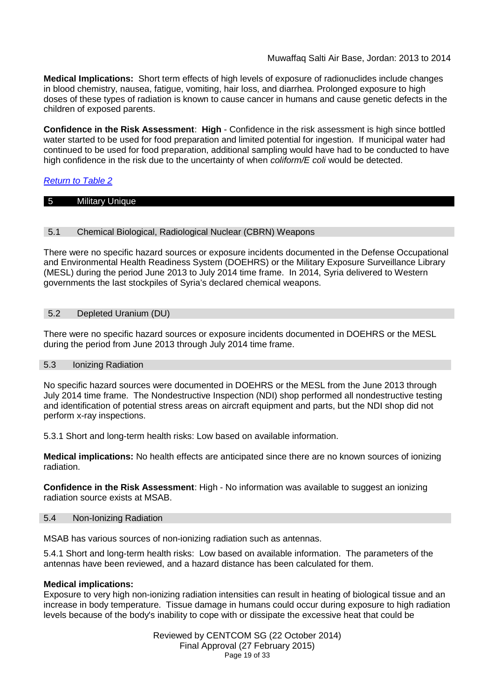**Medical Implications:** Short term effects of high levels of exposure of radionuclides include changes in blood chemistry, nausea, fatigue, vomiting, hair loss, and diarrhea. Prolonged exposure to high doses of these types of radiation is known to cause cancer in humans and cause genetic defects in the children of exposed parents.

**Confidence in the Risk Assessment**: **High** - Confidence in the risk assessment is high since bottled water started to be used for food preparation and limited potential for ingestion. If municipal water had continued to be used for food preparation, additional sampling would have had to be conducted to have high confidence in the risk due to the uncertainty of when *coliform/E coli* would be detected.

# *Return to Table 2*

## 5 Military Unique

#### 5.1 Chemical Biological, Radiological Nuclear (CBRN) Weapons

There were no specific hazard sources or exposure incidents documented in the Defense Occupational and Environmental Health Readiness System (DOEHRS) or the Military Exposure Surveillance Library (MESL) during the period June 2013 to July 2014 time frame. In 2014, Syria delivered to Western governments the last stockpiles of Syria's declared chemical weapons.

## 5.2 Depleted Uranium (DU)

There were no specific hazard sources or exposure incidents documented in DOEHRS or the MESL during the period from June 2013 through July 2014 time frame.

#### 5.3 Ionizing Radiation

No specific hazard sources were documented in DOEHRS or the MESL from the June 2013 through July 2014 time frame. The Nondestructive Inspection (NDI) shop performed all nondestructive testing and identification of potential stress areas on aircraft equipment and parts, but the NDI shop did not perform x-ray inspections.

5.3.1 Short and long-term health risks: Low based on available information.

**Medical implications:** No health effects are anticipated since there are no known sources of ionizing radiation.

**Confidence in the Risk Assessment**: High - No information was available to suggest an ionizing radiation source exists at MSAB.

#### 5.4 Non-Ionizing Radiation

MSAB has various sources of non-ionizing radiation such as antennas.

5.4.1 Short and long-term health risks: Low based on available information. The parameters of the antennas have been reviewed, and a hazard distance has been calculated for them.

#### **Medical implications:**

Exposure to very high non-ionizing radiation intensities can result in heating of biological tissue and an increase in body temperature. Tissue damage in humans could occur during exposure to high radiation levels because of the body's inability to cope with or dissipate the excessive heat that could be

> Reviewed by CENTCOM SG (22 October 2014) Final Approval (27 February 2015) Page 19 of 33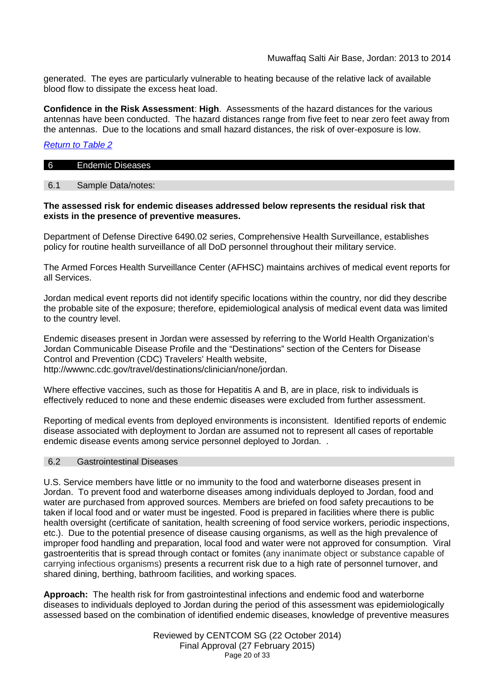generated. The eyes are particularly vulnerable to heating because of the relative lack of available blood flow to dissipate the excess heat load.

**Confidence in the Risk Assessment**: **High**. Assessments of the hazard distances for the various antennas have been conducted. The hazard distances range from five feet to near zero feet away from the antennas. Due to the locations and small hazard distances, the risk of over-exposure is low.

## *Return to Table 2*

| 6 | −<br>--<br>Endemic<br>Diseases |  |  |
|---|--------------------------------|--|--|
|   |                                |  |  |

## 6.1 Sample Data/notes:

#### **The assessed risk for endemic diseases addressed below represents the residual risk that exists in the presence of preventive measures.**

Department of Defense Directive 6490.02 series, Comprehensive Health Surveillance, establishes policy for routine health surveillance of all DoD personnel throughout their military service.

The Armed Forces Health Surveillance Center (AFHSC) maintains archives of medical event reports for all Services.

Jordan medical event reports did not identify specific locations within the country, nor did they describe the probable site of the exposure; therefore, epidemiological analysis of medical event data was limited to the country level.

Endemic diseases present in Jordan were assessed by referring to the World Health Organization's Jordan Communicable Disease Profile and the "Destinations" section of the Centers for Disease Control and Prevention (CDC) Travelers' Health website, http://wwwnc.cdc.gov/travel/destinations/clinician/none/jordan.

Where effective vaccines, such as those for Hepatitis A and B, are in place, risk to individuals is effectively reduced to none and these endemic diseases were excluded from further assessment.

Reporting of medical events from deployed environments is inconsistent. Identified reports of endemic disease associated with deployment to Jordan are assumed not to represent all cases of reportable endemic disease events among service personnel deployed to Jordan. .

#### 6.2 Gastrointestinal Diseases

U.S. Service members have little or no immunity to the food and waterborne diseases present in Jordan. To prevent food and waterborne diseases among individuals deployed to Jordan, food and water are purchased from approved sources. Members are briefed on food safety precautions to be taken if local food and or water must be ingested. Food is prepared in facilities where there is public health oversight (certificate of sanitation, health screening of food service workers, periodic inspections, etc.). Due to the potential presence of disease causing organisms, as well as the high prevalence of improper food handling and preparation, local food and water were not approved for consumption. Viral gastroenteritis that is spread through contact or fomites (any inanimate object or substance capable of carrying infectious organisms) presents a recurrent risk due to a high rate of personnel turnover, and shared dining, berthing, bathroom facilities, and working spaces.

**Approach:** The health risk for from gastrointestinal infections and endemic food and waterborne diseases to individuals deployed to Jordan during the period of this assessment was epidemiologically assessed based on the combination of identified endemic diseases, knowledge of preventive measures

> Reviewed by CENTCOM SG (22 October 2014) Final Approval (27 February 2015) Page 20 of 33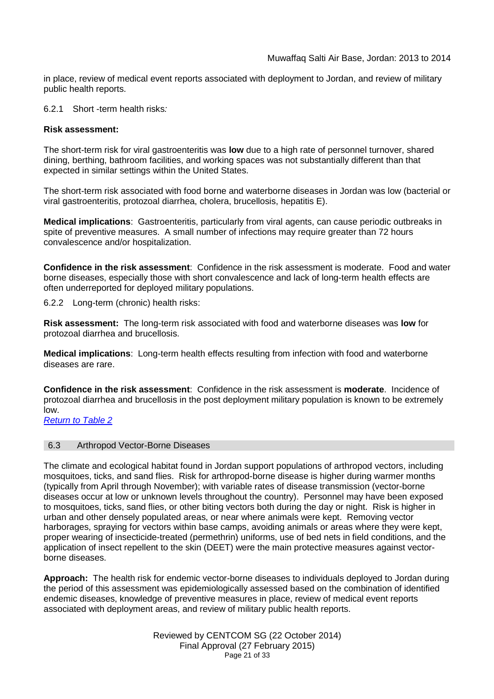in place, review of medical event reports associated with deployment to Jordan, and review of military public health reports.

6.2.1 Short -term health risks*:*

#### **Risk assessment:**

The short-term risk for viral gastroenteritis was **low** due to a high rate of personnel turnover, shared dining, berthing, bathroom facilities, and working spaces was not substantially different than that expected in similar settings within the United States.

The short-term risk associated with food borne and waterborne diseases in Jordan was low (bacterial or viral gastroenteritis, protozoal diarrhea, cholera, brucellosis, hepatitis E).

**Medical implications**: Gastroenteritis, particularly from viral agents, can cause periodic outbreaks in spite of preventive measures. A small number of infections may require greater than 72 hours convalescence and/or hospitalization.

**Confidence in the risk assessment**: Confidence in the risk assessment is moderate. Food and water borne diseases, especially those with short convalescence and lack of long-term health effects are often underreported for deployed military populations.

6.2.2 Long-term (chronic) health risks:

**Risk assessment:** The long-term risk associated with food and waterborne diseases was **low** for protozoal diarrhea and brucellosis.

**Medical implications**: Long-term health effects resulting from infection with food and waterborne diseases are rare.

**Confidence in the risk assessment**: Confidence in the risk assessment is **moderate**. Incidence of protozoal diarrhea and brucellosis in the post deployment military population is known to be extremely low.

*Return to Table 2*

#### 6.3 Arthropod Vector-Borne Diseases

The climate and ecological habitat found in Jordan support populations of arthropod vectors, including mosquitoes, ticks, and sand flies. Risk for arthropod-borne disease is higher during warmer months (typically from April through November); with variable rates of disease transmission (vector-borne diseases occur at low or unknown levels throughout the country). Personnel may have been exposed to mosquitoes, ticks, sand flies, or other biting vectors both during the day or night. Risk is higher in urban and other densely populated areas, or near where animals were kept. Removing vector harborages, spraying for vectors within base camps, avoiding animals or areas where they were kept, proper wearing of insecticide-treated (permethrin) uniforms, use of bed nets in field conditions, and the application of insect repellent to the skin (DEET) were the main protective measures against vectorborne diseases.

**Approach:** The health risk for endemic vector-borne diseases to individuals deployed to Jordan during the period of this assessment was epidemiologically assessed based on the combination of identified endemic diseases, knowledge of preventive measures in place, review of medical event reports associated with deployment areas, and review of military public health reports.

> Reviewed by CENTCOM SG (22 October 2014) Final Approval (27 February 2015) Page 21 of 33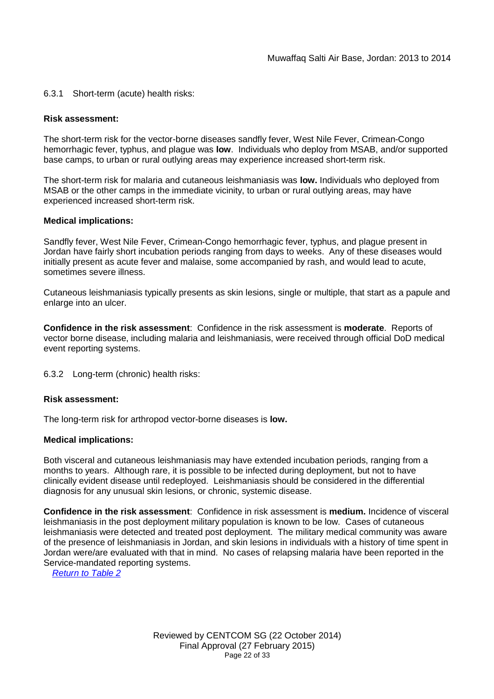## 6.3.1 Short-term (acute) health risks:

#### **Risk assessment:**

The short-term risk for the vector-borne diseases sandfly fever, West Nile Fever, Crimean-Congo hemorrhagic fever, typhus, and plague was **low**. Individuals who deploy from MSAB, and/or supported base camps, to urban or rural outlying areas may experience increased short-term risk.

The short-term risk for malaria and cutaneous leishmaniasis was **low.** Individuals who deployed from MSAB or the other camps in the immediate vicinity, to urban or rural outlying areas, may have experienced increased short-term risk.

#### **Medical implications:**

Sandfly fever, West Nile Fever, Crimean-Congo hemorrhagic fever, typhus, and plague present in Jordan have fairly short incubation periods ranging from days to weeks. Any of these diseases would initially present as acute fever and malaise, some accompanied by rash, and would lead to acute, sometimes severe illness.

Cutaneous leishmaniasis typically presents as skin lesions, single or multiple, that start as a papule and enlarge into an ulcer.

**Confidence in the risk assessment**: Confidence in the risk assessment is **moderate**. Reports of vector borne disease, including malaria and leishmaniasis, were received through official DoD medical event reporting systems.

6.3.2 Long-term (chronic) health risks:

## **Risk assessment:**

The long-term risk for arthropod vector-borne diseases is **low.**

#### **Medical implications:**

Both visceral and cutaneous leishmaniasis may have extended incubation periods, ranging from a months to years. Although rare, it is possible to be infected during deployment, but not to have clinically evident disease until redeployed. Leishmaniasis should be considered in the differential diagnosis for any unusual skin lesions, or chronic, systemic disease.

**Confidence in the risk assessment**: Confidence in risk assessment is **medium.** Incidence of visceral leishmaniasis in the post deployment military population is known to be low. Cases of cutaneous leishmaniasis were detected and treated post deployment. The military medical community was aware of the presence of leishmaniasis in Jordan, and skin lesions in individuals with a history of time spent in Jordan were/are evaluated with that in mind. No cases of relapsing malaria have been reported in the Service-mandated reporting systems.

*Return to Table 2*

Reviewed by CENTCOM SG (22 October 2014) Final Approval (27 February 2015) Page 22 of 33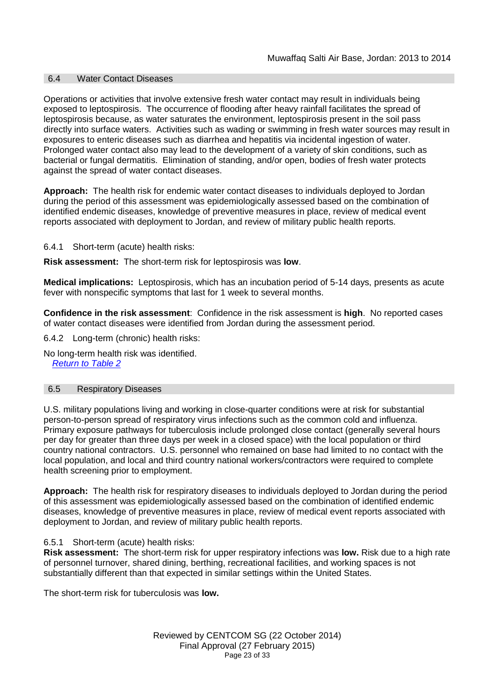#### 6.4 Water Contact Diseases

Operations or activities that involve extensive fresh water contact may result in individuals being exposed to leptospirosis. The occurrence of flooding after heavy rainfall facilitates the spread of leptospirosis because, as water saturates the environment, leptospirosis present in the soil pass directly into surface waters. Activities such as wading or swimming in fresh water sources may result in exposures to enteric diseases such as diarrhea and hepatitis via incidental ingestion of water. Prolonged water contact also may lead to the development of a variety of skin conditions, such as bacterial or fungal dermatitis. Elimination of standing, and/or open, bodies of fresh water protects against the spread of water contact diseases.

**Approach:** The health risk for endemic water contact diseases to individuals deployed to Jordan during the period of this assessment was epidemiologically assessed based on the combination of identified endemic diseases, knowledge of preventive measures in place, review of medical event reports associated with deployment to Jordan, and review of military public health reports.

6.4.1 Short-term (acute) health risks:

**Risk assessment:** The short-term risk for leptospirosis was **low**.

**Medical implications:** Leptospirosis, which has an incubation period of 5-14 days, presents as acute fever with nonspecific symptoms that last for 1 week to several months.

**Confidence in the risk assessment**: Confidence in the risk assessment is **high**. No reported cases of water contact diseases were identified from Jordan during the assessment period.

6.4.2 Long-term (chronic) health risks:

No long-term health risk was identified. *Return to Table 2*

#### 6.5 Respiratory Diseases

U.S. military populations living and working in close-quarter conditions were at risk for substantial person-to-person spread of respiratory virus infections such as the common cold and influenza. Primary exposure pathways for tuberculosis include prolonged close contact (generally several hours per day for greater than three days per week in a closed space) with the local population or third country national contractors. U.S. personnel who remained on base had limited to no contact with the local population, and local and third country national workers/contractors were required to complete health screening prior to employment.

**Approach:** The health risk for respiratory diseases to individuals deployed to Jordan during the period of this assessment was epidemiologically assessed based on the combination of identified endemic diseases, knowledge of preventive measures in place, review of medical event reports associated with deployment to Jordan, and review of military public health reports.

#### 6.5.1 Short-term (acute) health risks:

**Risk assessment:** The short-term risk for upper respiratory infections was **low.** Risk due to a high rate of personnel turnover, shared dining, berthing, recreational facilities, and working spaces is not substantially different than that expected in similar settings within the United States.

The short-term risk for tuberculosis was **low.**

Reviewed by CENTCOM SG (22 October 2014) Final Approval (27 February 2015) Page 23 of 33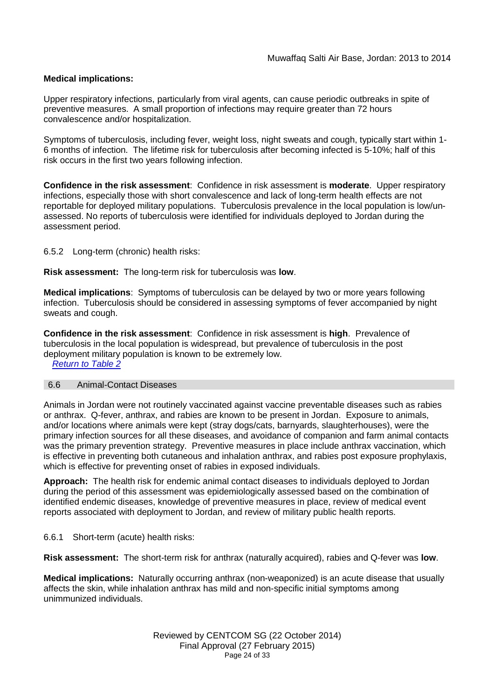## **Medical implications:**

Upper respiratory infections, particularly from viral agents, can cause periodic outbreaks in spite of preventive measures. A small proportion of infections may require greater than 72 hours convalescence and/or hospitalization.

Symptoms of tuberculosis, including fever, weight loss, night sweats and cough, typically start within 1- 6 months of infection. The lifetime risk for tuberculosis after becoming infected is 5-10%; half of this risk occurs in the first two years following infection.

**Confidence in the risk assessment**: Confidence in risk assessment is **moderate**. Upper respiratory infections, especially those with short convalescence and lack of long-term health effects are not reportable for deployed military populations. Tuberculosis prevalence in the local population is low/unassessed. No reports of tuberculosis were identified for individuals deployed to Jordan during the assessment period.

#### 6.5.2 Long-term (chronic) health risks:

**Risk assessment:** The long-term risk for tuberculosis was **low**.

**Medical implications**: Symptoms of tuberculosis can be delayed by two or more years following infection. Tuberculosis should be considered in assessing symptoms of fever accompanied by night sweats and cough.

**Confidence in the risk assessment**: Confidence in risk assessment is **high**. Prevalence of tuberculosis in the local population is widespread, but prevalence of tuberculosis in the post deployment military population is known to be extremely low.

*Return to Table 2*

#### 6.6 Animal-Contact Diseases

Animals in Jordan were not routinely vaccinated against vaccine preventable diseases such as rabies or anthrax. Q-fever, anthrax, and rabies are known to be present in Jordan. Exposure to animals, and/or locations where animals were kept (stray dogs/cats, barnyards, slaughterhouses), were the primary infection sources for all these diseases, and avoidance of companion and farm animal contacts was the primary prevention strategy. Preventive measures in place include anthrax vaccination, which is effective in preventing both cutaneous and inhalation anthrax, and rabies post exposure prophylaxis, which is effective for preventing onset of rabies in exposed individuals.

**Approach:** The health risk for endemic animal contact diseases to individuals deployed to Jordan during the period of this assessment was epidemiologically assessed based on the combination of identified endemic diseases, knowledge of preventive measures in place, review of medical event reports associated with deployment to Jordan, and review of military public health reports.

#### 6.6.1 Short-term (acute) health risks:

**Risk assessment:** The short-term risk for anthrax (naturally acquired), rabies and Q-fever was **low**.

**Medical implications:** Naturally occurring anthrax (non-weaponized) is an acute disease that usually affects the skin, while inhalation anthrax has mild and non-specific initial symptoms among unimmunized individuals.

> Reviewed by CENTCOM SG (22 October 2014) Final Approval (27 February 2015) Page 24 of 33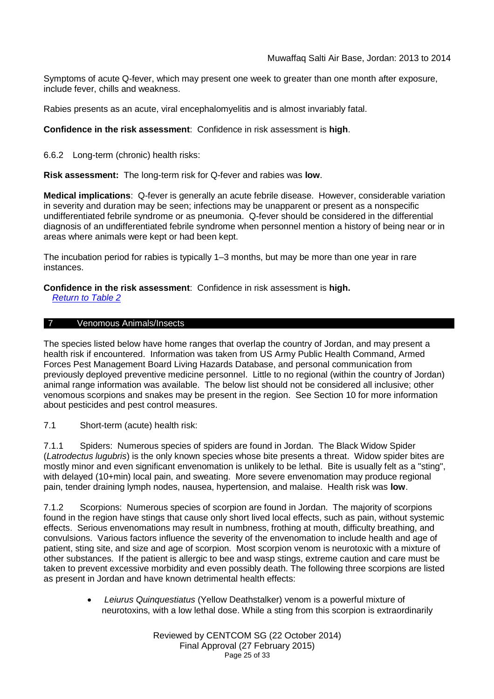Symptoms of acute Q-fever, which may present one week to greater than one month after exposure, include fever, chills and weakness.

Rabies presents as an acute, viral encephalomyelitis and is almost invariably fatal.

## **Confidence in the risk assessment**: Confidence in risk assessment is **high**.

6.6.2 Long-term (chronic) health risks:

**Risk assessment:** The long-term risk for Q-fever and rabies was **low**.

**Medical implications**: Q-fever is generally an acute febrile disease. However, considerable variation in severity and duration may be seen; infections may be unapparent or present as a nonspecific undifferentiated febrile syndrome or as pneumonia. Q-fever should be considered in the differential diagnosis of an undifferentiated febrile syndrome when personnel mention a history of being near or in areas where animals were kept or had been kept.

The incubation period for rabies is typically 1–3 months, but may be more than one year in rare instances.

**Confidence in the risk assessment**: Confidence in risk assessment is **high.**

*Return to Table 2*

#### 7 Venomous Animals/Insects

The species listed below have home ranges that overlap the country of Jordan, and may present a health risk if encountered. Information was taken from US Army Public Health Command, Armed Forces Pest Management Board Living Hazards Database, and personal communication from previously deployed preventive medicine personnel. Little to no regional (within the country of Jordan) animal range information was available. The below list should not be considered all inclusive; other venomous scorpions and snakes may be present in the region. See Section 10 for more information about pesticides and pest control measures.

7.1 Short-term (acute) health risk:

7.1.1 Spiders: Numerous species of spiders are found in Jordan. The Black Widow Spider (*Latrodectus lugubris*) is the only known species whose bite presents a threat. Widow spider bites are mostly minor and even significant envenomation is unlikely to be lethal. Bite is usually felt as a "sting", with delayed (10+min) local pain, and sweating. More severe envenomation may produce regional pain, tender draining lymph nodes, nausea, hypertension, and malaise. Health risk was **low**.

7.1.2 Scorpions: Numerous species of scorpion are found in Jordan. The majority of scorpions found in the region have stings that cause only short lived local effects, such as pain, without systemic effects. Serious envenomations may result in numbness, frothing at mouth, difficulty breathing, and convulsions. Various factors influence the severity of the envenomation to include health and age of patient, sting site, and size and age of scorpion. Most scorpion venom is neurotoxic with a mixture of other substances. If the patient is allergic to bee and wasp stings, extreme caution and care must be taken to prevent excessive morbidity and even possibly death. The following three scorpions are listed as present in Jordan and have known detrimental health effects:

> *Leiurus Quinquestiatus* (Yellow Deathstalker) venom is a powerful mixture of neurotoxins, with a low lethal dose. While a sting from this scorpion is extraordinarily

> > Reviewed by CENTCOM SG (22 October 2014) Final Approval (27 February 2015) Page 25 of 33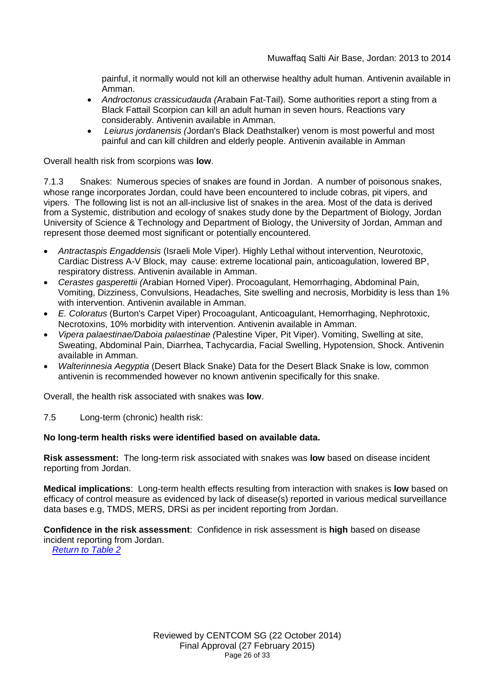painful, it normally would not kill an otherwise healthy adult human. Antivenin available in Amman.

- *Androctonus crassicudauda (*Arabain Fat-Tail). Some authorities report a sting from a Black Fattail Scorpion can kill an adult human in seven hours. Reactions vary considerably. Antivenin available in Amman.
- *Leiurus jordanensis (*Jordan's Black Deathstalker) venom is most powerful and most painful and can kill children and elderly people. Antivenin available in Amman

Overall health risk from scorpions was **low**.

7.1.3 Snakes: Numerous species of snakes are found in Jordan. A number of poisonous snakes, whose range incorporates Jordan, could have been encountered to include cobras, pit vipers, and vipers. The following list is not an all-inclusive list of snakes in the area. Most of the data is derived from a Systemic, distribution and ecology of snakes study done by the Department of Biology, Jordan University of Science & Technology and Department of Biology, the University of Jordan, Amman and represent those deemed most significant or potentially encountered.

- *Antractaspis Engaddensis* (Israeli Mole Viper). Highly Lethal without intervention, Neurotoxic, Cardiac Distress A-V Block, may cause: extreme locational pain, anticoagulation, lowered BP, respiratory distress. Antivenin available in Amman.
- *Cerastes gasperettii (*Arabian Horned Viper). Procoagulant, Hemorrhaging, Abdominal Pain, Vomiting, Dizziness, Convulsions, Headaches, Site swelling and necrosis, Morbidity is less than 1% with intervention. Antivenin available in Amman.
- *E. Coloratus* (Burton's Carpet Viper) Procoagulant, Anticoagulant, Hemorrhaging, Nephrotoxic, Necrotoxins, 10% morbidity with intervention. Antivenin available in Amman.
- *Vipera palaestinae/Daboia palaestinae (*Palestine Viper, Pit Viper). Vomiting, Swelling at site, Sweating, Abdominal Pain, Diarrhea, Tachycardia, Facial Swelling, Hypotension, Shock. Antivenin available in Amman.
- *Walterinnesia Aegyptia* (Desert Black Snake) Data for the Desert Black Snake is low, common antivenin is recommended however no known antivenin specifically for this snake.

Overall, the health risk associated with snakes was **low**.

7.5 Long-term (chronic) health risk:

#### **No long-term health risks were identified based on available data.**

**Risk assessment:** The long-term risk associated with snakes was **low** based on disease incident reporting from Jordan.

**Medical implications**: Long-term health effects resulting from interaction with snakes is **low** based on efficacy of control measure as evidenced by lack of disease(s) reported in various medical surveillance data bases e.g, TMDS, MERS, DRSi as per incident reporting from Jordan.

**Confidence in the risk assessment**: Confidence in risk assessment is **high** based on disease incident reporting from Jordan.

*Return to Table 2*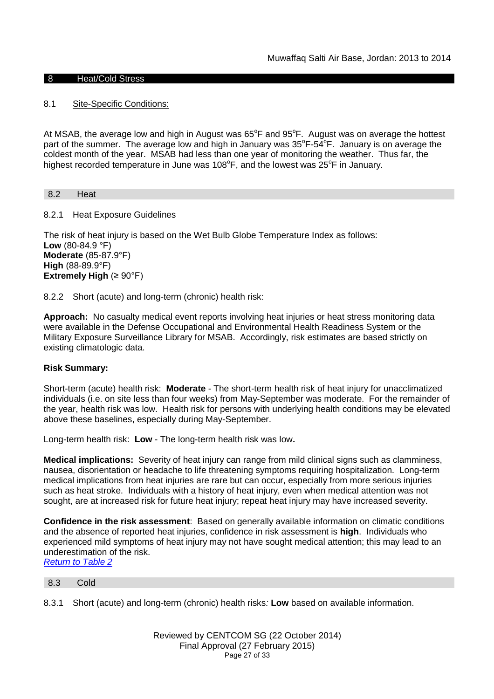## 8 Heat/Cold Stress

## 8.1 Site-Specific Conditions:

At MSAB, the average low and high in August was 65°F and 95°F. August was on average the hottest part of the summer. The average low and high in January was  $35^{\circ}F - 54^{\circ}F$ . January is on average the coldest month of the year. MSAB had less than one year of monitoring the weather. Thus far, the highest recorded temperature in June was  $108^{\circ}$ F, and the lowest was  $25^{\circ}$ F in January.

8.2 Heat

8.2.1 Heat Exposure Guidelines

The risk of heat injury is based on the Wet Bulb Globe Temperature Index as follows: **Low** (80-84.9 °F) **Moderate** (85-87.9°F) **High** (88-89.9°F) **Extremely High** (≥ 90°F)

8.2.2 Short (acute) and long-term (chronic) health risk:

**Approach:** No casualty medical event reports involving heat injuries or heat stress monitoring data were available in the Defense Occupational and Environmental Health Readiness System or the Military Exposure Surveillance Library for MSAB. Accordingly, risk estimates are based strictly on existing climatologic data.

## **Risk Summary:**

Short-term (acute) health risk: **Moderate** - The short-term health risk of heat injury for unacclimatized individuals (i.e. on site less than four weeks) from May-September was moderate. For the remainder of the year, health risk was low. Health risk for persons with underlying health conditions may be elevated above these baselines, especially during May-September.

Long-term health risk: **Low** - The long-term health risk was low**.**

**Medical implications:** Severity of heat injury can range from mild clinical signs such as clamminess, nausea, disorientation or headache to life threatening symptoms requiring hospitalization. Long-term medical implications from heat injuries are rare but can occur, especially from more serious injuries such as heat stroke. Individuals with a history of heat injury, even when medical attention was not sought, are at increased risk for future heat injury; repeat heat injury may have increased severity.

**Confidence in the risk assessment**: Based on generally available information on climatic conditions and the absence of reported heat injuries, confidence in risk assessment is **high**. Individuals who experienced mild symptoms of heat injury may not have sought medical attention; this may lead to an underestimation of the risk. *Return to Table 2*

8.3 Cold

8.3.1 Short (acute) and long-term (chronic) health risks*:* **Low** based on available information.

Reviewed by CENTCOM SG (22 October 2014) Final Approval (27 February 2015) Page 27 of 33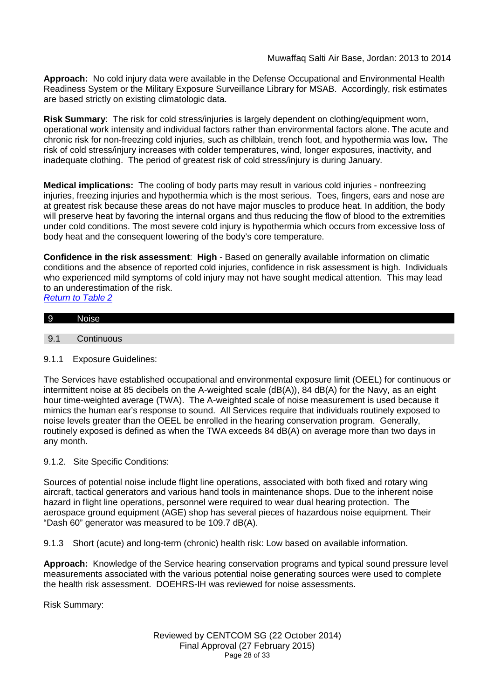**Approach:** No cold injury data were available in the Defense Occupational and Environmental Health Readiness System or the Military Exposure Surveillance Library for MSAB. Accordingly, risk estimates are based strictly on existing climatologic data.

**Risk Summary**: The risk for cold stress/injuries is largely dependent on clothing/equipment worn, operational work intensity and individual factors rather than environmental factors alone. The acute and chronic risk for non-freezing cold injuries, such as chilblain, trench foot, and hypothermia was low**.** The risk of cold stress/injury increases with colder temperatures, wind, longer exposures, inactivity, and inadequate clothing. The period of greatest risk of cold stress/injury is during January.

**Medical implications:** The cooling of body parts may result in various cold injuries - nonfreezing injuries, freezing injuries and hypothermia which is the most serious. Toes, fingers, ears and nose are at greatest risk because these areas do not have major muscles to produce heat. In addition, the body will preserve heat by favoring the internal organs and thus reducing the flow of blood to the extremities under cold conditions. The most severe cold injury is hypothermia which occurs from excessive loss of body heat and the consequent lowering of the body's core temperature.

**Confidence in the risk assessment**: **High** - Based on generally available information on climatic conditions and the absence of reported cold injuries, confidence in risk assessment is high. Individuals who experienced mild symptoms of cold injury may not have sought medical attention. This may lead to an underestimation of the risk. *Return to Table 2*

# 9 Noise 9.1 Continuous

## 9.1.1 Exposure Guidelines:

The Services have established occupational and environmental exposure limit (OEEL) for continuous or intermittent noise at 85 decibels on the A-weighted scale (dB(A)), 84 dB(A) for the Navy, as an eight hour time-weighted average (TWA). The A-weighted scale of noise measurement is used because it mimics the human ear's response to sound. All Services require that individuals routinely exposed to noise levels greater than the OEEL be enrolled in the hearing conservation program. Generally, routinely exposed is defined as when the TWA exceeds 84 dB(A) on average more than two days in any month.

## 9.1.2. Site Specific Conditions:

Sources of potential noise include flight line operations, associated with both fixed and rotary wing aircraft, tactical generators and various hand tools in maintenance shops. Due to the inherent noise hazard in flight line operations, personnel were required to wear dual hearing protection. The aerospace ground equipment (AGE) shop has several pieces of hazardous noise equipment. Their "Dash 60" generator was measured to be 109.7 dB(A).

9.1.3 Short (acute) and long-term (chronic) health risk: Low based on available information.

**Approach:** Knowledge of the Service hearing conservation programs and typical sound pressure level measurements associated with the various potential noise generating sources were used to complete the health risk assessment. DOEHRS-IH was reviewed for noise assessments.

Risk Summary:

Reviewed by CENTCOM SG (22 October 2014) Final Approval (27 February 2015) Page 28 of 33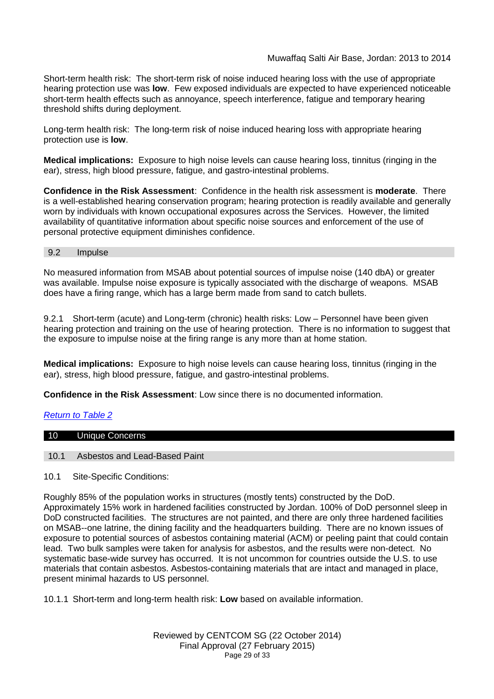## Muwaffaq Salti Air Base, Jordan: 2013 to 2014

Short-term health risk: The short-term risk of noise induced hearing loss with the use of appropriate hearing protection use was **low**. Few exposed individuals are expected to have experienced noticeable short-term health effects such as annoyance, speech interference, fatigue and temporary hearing threshold shifts during deployment.

Long-term health risk: The long-term risk of noise induced hearing loss with appropriate hearing protection use is **low**.

**Medical implications:** Exposure to high noise levels can cause hearing loss, tinnitus (ringing in the ear), stress, high blood pressure, fatigue, and gastro-intestinal problems.

**Confidence in the Risk Assessment**: Confidence in the health risk assessment is **moderate**. There is a well-established hearing conservation program; hearing protection is readily available and generally worn by individuals with known occupational exposures across the Services. However, the limited availability of quantitative information about specific noise sources and enforcement of the use of personal protective equipment diminishes confidence.

#### 9.2 Impulse

No measured information from MSAB about potential sources of impulse noise (140 dbA) or greater was available. Impulse noise exposure is typically associated with the discharge of weapons. MSAB does have a firing range, which has a large berm made from sand to catch bullets.

9.2.1 Short-term (acute) and Long-term (chronic) health risks: Low – Personnel have been given hearing protection and training on the use of hearing protection. There is no information to suggest that the exposure to impulse noise at the firing range is any more than at home station.

**Medical implications:** Exposure to high noise levels can cause hearing loss, tinnitus (ringing in the ear), stress, high blood pressure, fatigue, and gastro-intestinal problems.

**Confidence in the Risk Assessment**: Low since there is no documented information.

#### *Return to Table 2*

# 10 Unique Concerns

#### 10.1 Asbestos and Lead-Based Paint

10.1 Site-Specific Conditions:

Roughly 85% of the population works in structures (mostly tents) constructed by the DoD. Approximately 15% work in hardened facilities constructed by Jordan. 100% of DoD personnel sleep in DoD constructed facilities. The structures are not painted, and there are only three hardened facilities on MSAB--one latrine, the dining facility and the headquarters building. There are no known issues of exposure to potential sources of asbestos containing material (ACM) or peeling paint that could contain lead. Two bulk samples were taken for analysis for asbestos, and the results were non-detect. No systematic base-wide survey has occurred. It is not uncommon for countries outside the U.S. to use materials that contain asbestos. Asbestos-containing materials that are intact and managed in place, present minimal hazards to US personnel.

10.1.1 Short-term and long-term health risk: **Low** based on available information.

Reviewed by CENTCOM SG (22 October 2014) Final Approval (27 February 2015) Page 29 of 33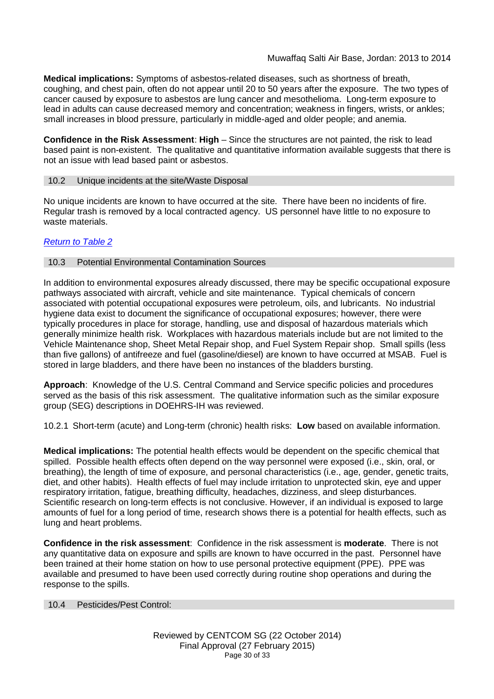**Medical implications:** Symptoms of asbestos-related diseases, such as shortness of breath, coughing, and chest pain, often do not appear until 20 to 50 years after the exposure. The two types of cancer caused by exposure to asbestos are lung cancer and mesothelioma. Long-term exposure to lead in adults can cause decreased memory and concentration; weakness in fingers, wrists, or ankles; small increases in blood pressure, particularly in middle-aged and older people; and anemia.

**Confidence in the Risk Assessment**: **High** – Since the structures are not painted, the risk to lead based paint is non-existent. The qualitative and quantitative information available suggests that there is not an issue with lead based paint or asbestos.

## 10.2 Unique incidents at the site/Waste Disposal

No unique incidents are known to have occurred at the site. There have been no incidents of fire. Regular trash is removed by a local contracted agency. US personnel have little to no exposure to waste materials.

## *Return to Table 2*

## 10.3 Potential Environmental Contamination Sources

In addition to environmental exposures already discussed, there may be specific occupational exposure pathways associated with aircraft, vehicle and site maintenance. Typical chemicals of concern associated with potential occupational exposures were petroleum, oils, and lubricants. No industrial hygiene data exist to document the significance of occupational exposures; however, there were typically procedures in place for storage, handling, use and disposal of hazardous materials which generally minimize health risk. Workplaces with hazardous materials include but are not limited to the Vehicle Maintenance shop, Sheet Metal Repair shop, and Fuel System Repair shop. Small spills (less than five gallons) of antifreeze and fuel (gasoline/diesel) are known to have occurred at MSAB. Fuel is stored in large bladders, and there have been no instances of the bladders bursting.

**Approach**: Knowledge of the U.S. Central Command and Service specific policies and procedures served as the basis of this risk assessment. The qualitative information such as the similar exposure group (SEG) descriptions in DOEHRS-IH was reviewed.

10.2.1 Short-term (acute) and Long-term (chronic) health risks: **Low** based on available information.

**Medical implications:** The potential health effects would be dependent on the specific chemical that spilled. Possible health effects often depend on the way personnel were exposed (i.e., skin, oral, or breathing), the length of time of exposure, and personal characteristics (i.e., age, gender, genetic traits, diet, and other habits). Health effects of fuel may include irritation to unprotected skin, eye and upper respiratory irritation, fatigue, breathing difficulty, headaches, dizziness, and sleep disturbances. Scientific research on long-term effects is not conclusive. However, if an individual is exposed to large amounts of fuel for a long period of time, research shows there is a potential for health effects, such as lung and heart problems.

**Confidence in the risk assessment**: Confidence in the risk assessment is **moderate**. There is not any quantitative data on exposure and spills are known to have occurred in the past. Personnel have been trained at their home station on how to use personal protective equipment (PPE). PPE was available and presumed to have been used correctly during routine shop operations and during the response to the spills.

#### 10.4 Pesticides/Pest Control: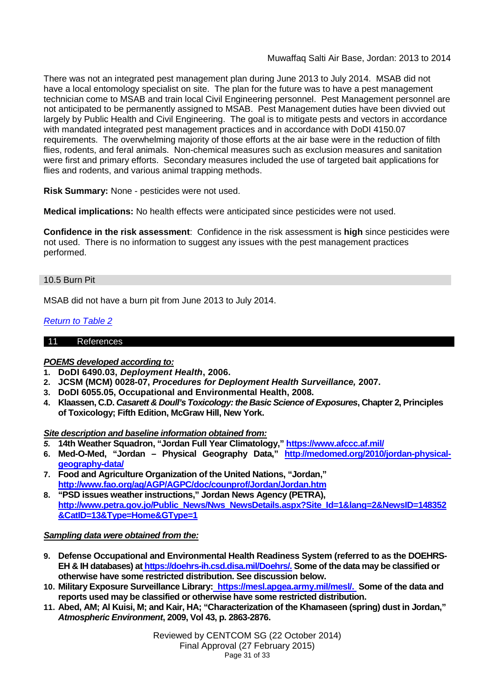There was not an integrated pest management plan during June 2013 to July 2014. MSAB did not have a local entomology specialist on site. The plan for the future was to have a pest management technician come to MSAB and train local Civil Engineering personnel. Pest Management personnel are not anticipated to be permanently assigned to MSAB. Pest Management duties have been divvied out largely by Public Health and Civil Engineering. The goal is to mitigate pests and vectors in accordance with mandated integrated pest management practices and in accordance with DoDI 4150.07 requirements. The overwhelming majority of those efforts at the air base were in the reduction of filth flies, rodents, and feral animals. Non-chemical measures such as exclusion measures and sanitation were first and primary efforts. Secondary measures included the use of targeted bait applications for flies and rodents, and various animal trapping methods.

**Risk Summary:** None - pesticides were not used.

**Medical implications:** No health effects were anticipated since pesticides were not used.

**Confidence in the risk assessment**: Confidence in the risk assessment is **high** since pesticides were not used. There is no information to suggest any issues with the pest management practices performed.

## 10.5 Burn Pit

MSAB did not have a burn pit from June 2013 to July 2014.

## *Return to Table 2*

## 11 References

## *POEMS developed according to:*

- **1. DoDI 6490.03,** *Deployment Health***, 2006.**
- **2. JCSM (MCM) 0028-07,** *Procedures for Deployment Health Surveillance,* **2007.**
- **3. DoDI 6055.05, Occupational and Environmental Health, 2008.**
- **4. Klaassen, C.D.** *Casarett & Doull's Toxicology: the Basic Science of Exposures***, Chapter 2, Principles of Toxicology; Fifth Edition, McGraw Hill, New York.**

*Site description and baseline information obtained from:*

- *5.* **14th Weather Squadron, "Jordan Full Year Climatology," https://www.afccc.af.mil/**
- **6. Med-O-Med, "Jordan Physical Geography Data," http://medomed.org/2010/jordan-physicalgeography-data/**
- **7. Food and Agriculture Organization of the United Nations, "Jordan," http://www.fao.org/ag/AGP/AGPC/doc/counprof/Jordan/Jordan.htm**
- **8. "PSD issues weather instructions," Jordan News Agency (PETRA), http://www.petra.gov.jo/Public\_News/Nws\_NewsDetails.aspx?Site\_Id=1&lang=2&NewsID=148352**  $&CatID=13&Tvpe=Home&GTvpe=1$

#### *Sampling data were obtained from the:*

- **9. Defense Occupational and Environmental Health Readiness System (referred to as the DOEHRS-EH & IH databases) at https://doehrs-ih.csd.disa.mil/Doehrs/. Some of the data may be classified or otherwise have some restricted distribution. See discussion below.**
- **10. Military Exposure Surveillance Library: https://mesl.apgea.army.mil/mesl/. Some of the data and reports used may be classified or otherwise have some restricted distribution.**
- **11. Abed, AM; Al Kuisi, M; and Kair, HA; "Characterization of the Khamaseen (spring) dust in Jordan,"** *Atmospheric Environment***, 2009, Vol 43, p. 2863-2876.**

Reviewed by CENTCOM SG (22 October 2014) Final Approval (27 February 2015) Page 31 of 33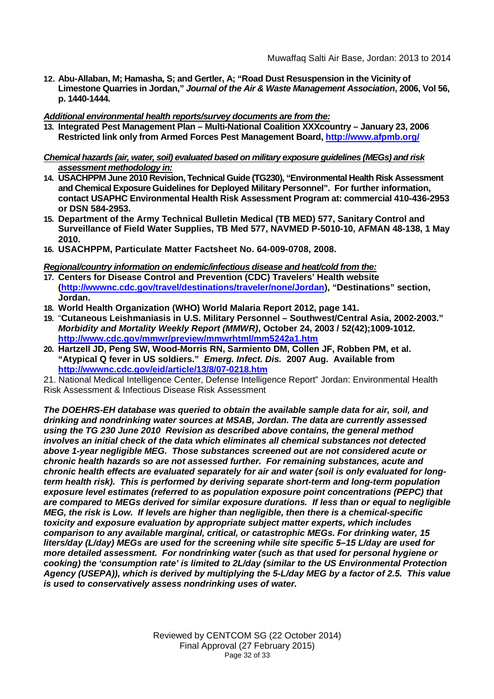- **12. Abu-Allaban, M; Hamasha, S; and Gertler, A; "Road Dust Resuspension in the Vicinity of Limestone Quarries in Jordan,"** *Journal of the Air & Waste Management Association***, 2006, Vol 56, p. 1440-1444.**
- *Additional environmental health reports/survey documents are from the:*
- **13. Integrated Pest Management Plan Multi-National Coalition XXXcountry January 23, 2006 Restricted link only from Armed Forces Pest Management Board, http://www.afpmb.org/**

#### *Chemical hazards (air, water, soil) evaluated based on military exposure guidelines (MEGs) and risk assessment methodology in:*

- **14. USACHPPM June 2010 Revision, Technical Guide (TG230), "Environmental Health Risk Assessment and Chemical Exposure Guidelines for Deployed Military Personnel". For further information, contact USAPHC Environmental Health Risk Assessment Program at: commercial 410-436-2953 or DSN 584-2953.**
- **15. Department of the Army Technical Bulletin Medical (TB MED) 577, Sanitary Control and Surveillance of Field Water Supplies, TB Med 577, NAVMED P-5010-10, AFMAN 48-138, 1 May 2010.**
- **16. USACHPPM, Particulate Matter Factsheet No. 64-009-0708, 2008.**

## *Regional/country information on endemic/infectious disease and heat/cold from the:*

- **17. Centers for Disease Control and Prevention (CDC) Travelers' Health website (http://wwwnc.cdc.gov/travel/destinations/traveler/none/Jordan), "Destinations" section, Jordan.**
- **18. World Health Organization (WHO) World Malaria Report 2012, page 141.**
- **19.** "**Cutaneous Leishmaniasis in U.S. Military Personnel Southwest/Central Asia, 2002-2003."** *Morbidity and Mortality Weekly Report (MMWR)***, October 24, 2003 / 52(42);1009-1012. http://www.cdc.gov/mmwr/preview/mmwrhtml/mm5242a1.htm**
- **20. Hartzell JD, Peng SW, Wood-Morris RN, Sarmiento DM, Collen JF, Robben PM, et al. "Atypical Q fever in US soldiers."** *Emerg. Infect. Dis.* **2007 Aug. Available from http://wwwnc.cdc.gov/eid/article/13/8/07-0218.htm**
- 21. National Medical Intelligence Center, Defense Intelligence Report" Jordan: Environmental Health Risk Assessment & Infectious Disease Risk Assessment

*The DOEHRS-EH database was queried to obtain the available sample data for air, soil, and drinking and nondrinking water sources at MSAB, Jordan. The data are currently assessed using the TG 230 June 2010 Revision as described above contains, the general method involves an initial check of the data which eliminates all chemical substances not detected above 1-year negligible MEG. Those substances screened out are not considered acute or chronic health hazards so are not assessed further. For remaining substances, acute and chronic health effects are evaluated separately for air and water (soil is only evaluated for longterm health risk). This is performed by deriving separate short-term and long-term population exposure level estimates (referred to as population exposure point concentrations (PEPC) that are compared to MEGs derived for similar exposure durations. If less than or equal to negligible MEG, the risk is Low. If levels are higher than negligible, then there is a chemical-specific toxicity and exposure evaluation by appropriate subject matter experts, which includes comparison to any available marginal, critical, or catastrophic MEGs. For drinking water, 15 liters/day (L/day) MEGs are used for the screening while site specific 5–15 L/day are used for more detailed assessment. For nondrinking water (such as that used for personal hygiene or cooking) the 'consumption rate' is limited to 2L/day (similar to the US Environmental Protection Agency (USEPA)), which is derived by multiplying the 5-L/day MEG by a factor of 2.5. This value is used to conservatively assess nondrinking uses of water.*